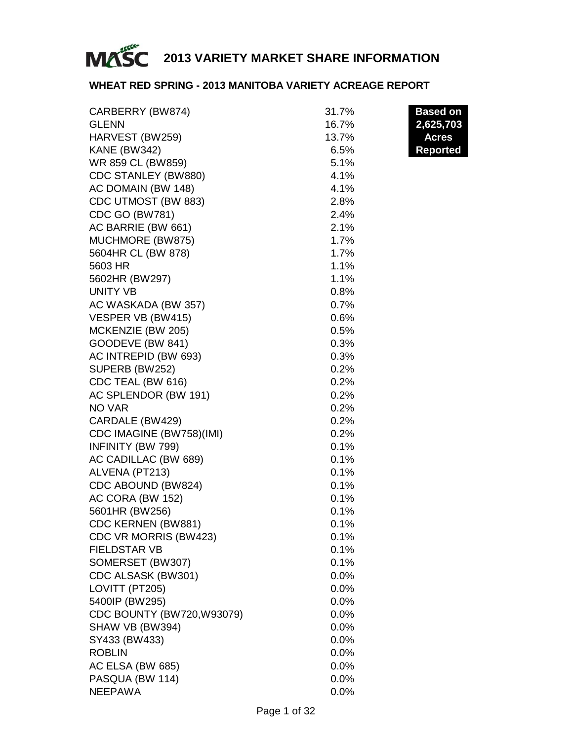

### **WHEAT RED SPRING - 2013 MANITOBA VARIETY ACREAGE REPORT**

| <b>GLENN</b><br>16.7%<br>2,625,703<br>HARVEST (BW259)<br>13.7%<br><b>Acres</b><br><b>KANE (BW342)</b><br>6.5%<br><b>Reported</b><br>WR 859 CL (BW859)<br>5.1%<br>CDC STANLEY (BW880)<br>4.1%<br>AC DOMAIN (BW 148)<br>4.1%<br>CDC UTMOST (BW 883)<br>2.8%<br>CDC GO (BW781)<br>2.4%<br>AC BARRIE (BW 661)<br>2.1%<br>MUCHMORE (BW875)<br>1.7%<br>5604HR CL (BW 878)<br>1.7%<br>5603 HR<br>1.1%<br>5602HR (BW297)<br>1.1%<br>UNITY VB<br>0.8%<br>AC WASKADA (BW 357)<br>0.7%<br>VESPER VB (BW415)<br>0.6%<br>MCKENZIE (BW 205)<br>0.5%<br>GOODEVE (BW 841)<br>0.3%<br>AC INTREPID (BW 693)<br>0.3%<br>SUPERB (BW252)<br>0.2%<br>CDC TEAL (BW 616)<br>0.2%<br>AC SPLENDOR (BW 191)<br>0.2% |
|------------------------------------------------------------------------------------------------------------------------------------------------------------------------------------------------------------------------------------------------------------------------------------------------------------------------------------------------------------------------------------------------------------------------------------------------------------------------------------------------------------------------------------------------------------------------------------------------------------------------------------------------------------------------------------------|
|                                                                                                                                                                                                                                                                                                                                                                                                                                                                                                                                                                                                                                                                                          |
|                                                                                                                                                                                                                                                                                                                                                                                                                                                                                                                                                                                                                                                                                          |
|                                                                                                                                                                                                                                                                                                                                                                                                                                                                                                                                                                                                                                                                                          |
|                                                                                                                                                                                                                                                                                                                                                                                                                                                                                                                                                                                                                                                                                          |
|                                                                                                                                                                                                                                                                                                                                                                                                                                                                                                                                                                                                                                                                                          |
|                                                                                                                                                                                                                                                                                                                                                                                                                                                                                                                                                                                                                                                                                          |
|                                                                                                                                                                                                                                                                                                                                                                                                                                                                                                                                                                                                                                                                                          |
|                                                                                                                                                                                                                                                                                                                                                                                                                                                                                                                                                                                                                                                                                          |
|                                                                                                                                                                                                                                                                                                                                                                                                                                                                                                                                                                                                                                                                                          |
|                                                                                                                                                                                                                                                                                                                                                                                                                                                                                                                                                                                                                                                                                          |
|                                                                                                                                                                                                                                                                                                                                                                                                                                                                                                                                                                                                                                                                                          |
|                                                                                                                                                                                                                                                                                                                                                                                                                                                                                                                                                                                                                                                                                          |
|                                                                                                                                                                                                                                                                                                                                                                                                                                                                                                                                                                                                                                                                                          |
|                                                                                                                                                                                                                                                                                                                                                                                                                                                                                                                                                                                                                                                                                          |
|                                                                                                                                                                                                                                                                                                                                                                                                                                                                                                                                                                                                                                                                                          |
|                                                                                                                                                                                                                                                                                                                                                                                                                                                                                                                                                                                                                                                                                          |
|                                                                                                                                                                                                                                                                                                                                                                                                                                                                                                                                                                                                                                                                                          |
|                                                                                                                                                                                                                                                                                                                                                                                                                                                                                                                                                                                                                                                                                          |
|                                                                                                                                                                                                                                                                                                                                                                                                                                                                                                                                                                                                                                                                                          |
|                                                                                                                                                                                                                                                                                                                                                                                                                                                                                                                                                                                                                                                                                          |
|                                                                                                                                                                                                                                                                                                                                                                                                                                                                                                                                                                                                                                                                                          |
|                                                                                                                                                                                                                                                                                                                                                                                                                                                                                                                                                                                                                                                                                          |
| NO VAR<br>0.2%                                                                                                                                                                                                                                                                                                                                                                                                                                                                                                                                                                                                                                                                           |
| CARDALE (BW429)<br>0.2%                                                                                                                                                                                                                                                                                                                                                                                                                                                                                                                                                                                                                                                                  |
| CDC IMAGINE (BW758)(IMI)<br>0.2%                                                                                                                                                                                                                                                                                                                                                                                                                                                                                                                                                                                                                                                         |
| INFINITY (BW 799)<br>0.1%                                                                                                                                                                                                                                                                                                                                                                                                                                                                                                                                                                                                                                                                |
| AC CADILLAC (BW 689)<br>0.1%                                                                                                                                                                                                                                                                                                                                                                                                                                                                                                                                                                                                                                                             |
| ALVENA (PT213)<br>0.1%                                                                                                                                                                                                                                                                                                                                                                                                                                                                                                                                                                                                                                                                   |
| CDC ABOUND (BW824)<br>0.1%                                                                                                                                                                                                                                                                                                                                                                                                                                                                                                                                                                                                                                                               |
| AC CORA (BW 152)<br>0.1%                                                                                                                                                                                                                                                                                                                                                                                                                                                                                                                                                                                                                                                                 |
| 5601HR (BW256)<br>0.1%                                                                                                                                                                                                                                                                                                                                                                                                                                                                                                                                                                                                                                                                   |
| CDC KERNEN (BW881)<br>0.1%                                                                                                                                                                                                                                                                                                                                                                                                                                                                                                                                                                                                                                                               |
| CDC VR MORRIS (BW423)<br>0.1%                                                                                                                                                                                                                                                                                                                                                                                                                                                                                                                                                                                                                                                            |
| <b>FIELDSTAR VB</b><br>0.1%                                                                                                                                                                                                                                                                                                                                                                                                                                                                                                                                                                                                                                                              |
| SOMERSET (BW307)<br>$0.1\%$                                                                                                                                                                                                                                                                                                                                                                                                                                                                                                                                                                                                                                                              |
| CDC ALSASK (BW301)<br>0.0%                                                                                                                                                                                                                                                                                                                                                                                                                                                                                                                                                                                                                                                               |
| LOVITT (PT205)<br>0.0%                                                                                                                                                                                                                                                                                                                                                                                                                                                                                                                                                                                                                                                                   |
| 5400IP (BW295)<br>0.0%                                                                                                                                                                                                                                                                                                                                                                                                                                                                                                                                                                                                                                                                   |
| CDC BOUNTY (BW720, W93079)<br>0.0%                                                                                                                                                                                                                                                                                                                                                                                                                                                                                                                                                                                                                                                       |
| SHAW VB (BW394)<br>0.0%                                                                                                                                                                                                                                                                                                                                                                                                                                                                                                                                                                                                                                                                  |
| SY433 (BW433)<br>0.0%                                                                                                                                                                                                                                                                                                                                                                                                                                                                                                                                                                                                                                                                    |
| <b>ROBLIN</b><br>0.0%                                                                                                                                                                                                                                                                                                                                                                                                                                                                                                                                                                                                                                                                    |
| AC ELSA (BW 685)<br>0.0%                                                                                                                                                                                                                                                                                                                                                                                                                                                                                                                                                                                                                                                                 |
| PASQUA (BW 114)<br>0.0%                                                                                                                                                                                                                                                                                                                                                                                                                                                                                                                                                                                                                                                                  |
| <b>NEEPAWA</b><br>0.0%                                                                                                                                                                                                                                                                                                                                                                                                                                                                                                                                                                                                                                                                   |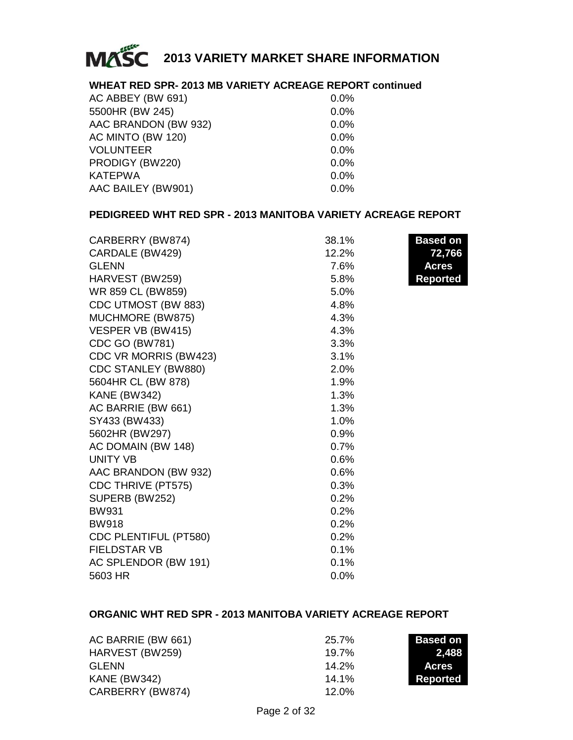

### **WHEAT RED SPR- 2013 MB VARIETY ACREAGE REPORT continued**

| AC ABBEY (BW 691)    | 0.0%    |
|----------------------|---------|
| 5500HR (BW 245)      | 0.0%    |
| AAC BRANDON (BW 932) | 0.0%    |
| AC MINTO (BW 120)    | $0.0\%$ |
| <b>VOLUNTEER</b>     | 0.0%    |
| PRODIGY (BW220)      | $0.0\%$ |
| <b>KATEPWA</b>       | $0.0\%$ |
| AAC BAILEY (BW901)   | 0.0%    |

### **PEDIGREED WHT RED SPR - 2013 MANITOBA VARIETY ACREAGE REPORT**

| CARBERRY (BW874)      | 38.1% | <b>Based on</b> |
|-----------------------|-------|-----------------|
| CARDALE (BW429)       | 12.2% | 72,766          |
| <b>GLENN</b>          | 7.6%  | <b>Acres</b>    |
| HARVEST (BW259)       | 5.8%  | <b>Reported</b> |
| WR 859 CL (BW859)     | 5.0%  |                 |
| CDC UTMOST (BW 883)   | 4.8%  |                 |
| MUCHMORE (BW875)      | 4.3%  |                 |
| VESPER VB (BW415)     | 4.3%  |                 |
| <b>CDC GO (BW781)</b> | 3.3%  |                 |
| CDC VR MORRIS (BW423) | 3.1%  |                 |
| CDC STANLEY (BW880)   | 2.0%  |                 |
| 5604HR CL (BW 878)    | 1.9%  |                 |
| <b>KANE (BW342)</b>   | 1.3%  |                 |
| AC BARRIE (BW 661)    | 1.3%  |                 |
| SY433 (BW433)         | 1.0%  |                 |
| 5602HR (BW297)        | 0.9%  |                 |
| AC DOMAIN (BW 148)    | 0.7%  |                 |
| UNITY VB              | 0.6%  |                 |
| AAC BRANDON (BW 932)  | 0.6%  |                 |
| CDC THRIVE (PT575)    | 0.3%  |                 |
| SUPERB (BW252)        | 0.2%  |                 |
| <b>BW931</b>          | 0.2%  |                 |
| <b>BW918</b>          | 0.2%  |                 |
| CDC PLENTIFUL (PT580) | 0.2%  |                 |
| <b>FIELDSTAR VB</b>   | 0.1%  |                 |
| AC SPLENDOR (BW 191)  | 0.1%  |                 |
| 5603 HR               | 0.0%  |                 |

### **ORGANIC WHT RED SPR - 2013 MANITOBA VARIETY ACREAGE REPORT**

| AC BARRIE (BW 661) | 25.7%    | <b>Based on</b> |
|--------------------|----------|-----------------|
| HARVEST (BW259)    | $19.7\%$ | 2.488           |
| GLENN              | $14.2\%$ | <b>Acres</b>    |
| KANE (BW342)       | $14.1\%$ | Reported        |
| CARBERRY (BW874)   | $12.0\%$ |                 |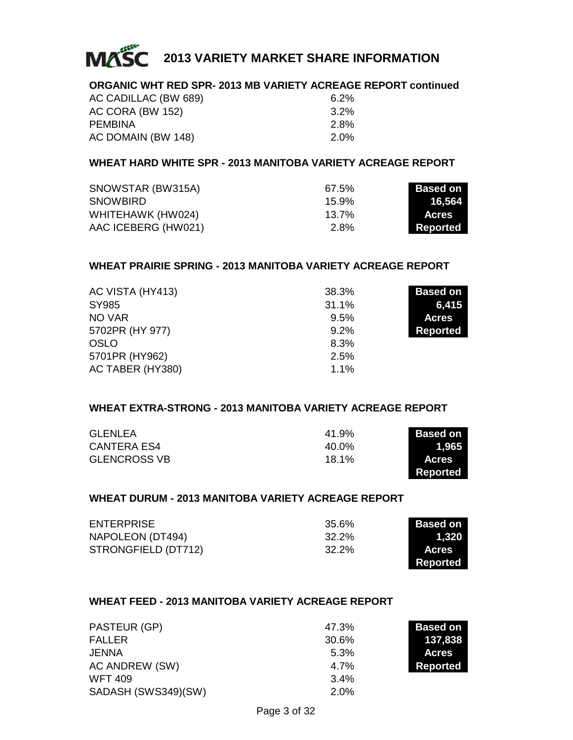

### **ORGANIC WHT RED SPR- 2013 MB VARIETY ACREAGE REPORT continued**

| AC CADILLAC (BW 689) | $6.2\%$ |
|----------------------|---------|
| AC CORA (BW 152)     | $3.2\%$ |
| PEMBINA              | 2.8%    |
| AC DOMAIN (BW 148)   | 2.0%    |

### **WHEAT HARD WHITE SPR - 2013 MANITOBA VARIETY ACREAGE REPORT**

| SNOWSTAR (BW315A)   | 67.5%    | <b>Based on</b> |
|---------------------|----------|-----------------|
| <b>SNOWBIRD</b>     | 15.9%    | 16.564          |
| WHITEHAWK (HW024)   | $13.7\%$ | <b>Acres</b>    |
| AAC ICEBERG (HW021) | 2.8%     | Reported        |

### **WHEAT PRAIRIE SPRING - 2013 MANITOBA VARIETY ACREAGE REPORT**

| AC VISTA (HY413) | 38.3% | <b>Based on</b> |
|------------------|-------|-----------------|
| SY985            | 31.1% | 6,415           |
| NO VAR           | 9.5%  | <b>Acres</b>    |
| 5702PR (HY 977)  | 9.2%  | Reported        |
| OSLO             | 8.3%  |                 |
| 5701PR (HY962)   | 2.5%  |                 |
| AC TABER (HY380) | 1.1%  |                 |

### **WHEAT EXTRA-STRONG - 2013 MANITOBA VARIETY ACREAGE REPORT**

| <b>GLENLEA</b>      | 41.9% | <b>Based on</b> |
|---------------------|-------|-----------------|
| CANTERA ES4         | 40.0% | 1.965           |
| <b>GLENCROSS VB</b> | 18.1% | <b>Acres</b>    |
|                     |       | Reported        |

### **WHEAT DURUM - 2013 MANITOBA VARIETY ACREAGE REPORT**

| <b>ENTERPRISE</b>   | 35.6% | <b>Based on</b> |
|---------------------|-------|-----------------|
| NAPOLEON (DT494)    | 32.2% | 1.320           |
| STRONGFIELD (DT712) | 32.2% | <b>Acres</b>    |
|                     |       | Reported        |

### **WHEAT FEED - 2013 MANITOBA VARIETY ACREAGE REPORT**

| PASTEUR (GP)        | 47.3%   | <b>Based on</b> |
|---------------------|---------|-----------------|
| <b>FALLER</b>       | 30.6%   | 137,838         |
| JENNA               | 5.3%    | <b>Acres</b>    |
| AC ANDREW (SW)      | 4.7%    | <b>Reported</b> |
| <b>WFT 409</b>      | $3.4\%$ |                 |
| SADASH (SWS349)(SW) | 2.0%    |                 |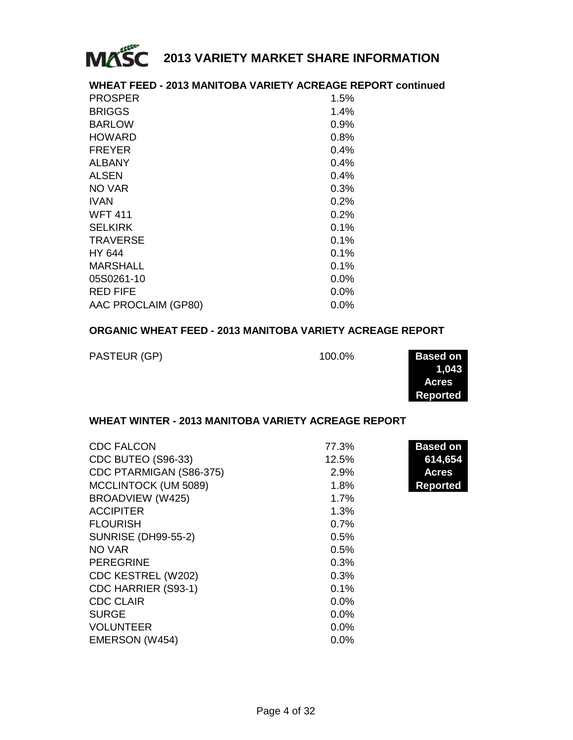

|                     | <b>WHEAT FEED - 2013 MANITOBA VARIETY ACREAGE REPORT continued</b> |
|---------------------|--------------------------------------------------------------------|
| <b>PROSPER</b>      | 1.5%                                                               |
| <b>BRIGGS</b>       | 1.4%                                                               |
| <b>BARLOW</b>       | $0.9\%$                                                            |
| <b>HOWARD</b>       | 0.8%                                                               |
| <b>FREYER</b>       | 0.4%                                                               |
| <b>ALBANY</b>       | 0.4%                                                               |
| <b>ALSEN</b>        | $0.4\%$                                                            |
| NO VAR              | 0.3%                                                               |
| <b>IVAN</b>         | $0.2\%$                                                            |
| <b>WFT 411</b>      | 0.2%                                                               |
| <b>SELKIRK</b>      | 0.1%                                                               |
| <b>TRAVERSE</b>     | $0.1\%$                                                            |
| HY 644              | 0.1%                                                               |
| MARSHALL            | 0.1%                                                               |
| 05S0261-10          | $0.0\%$                                                            |
| <b>RED FIFE</b>     | $0.0\%$                                                            |
| AAC PROCLAIM (GP80) | $0.0\%$                                                            |
|                     |                                                                    |

### **ORGANIC WHEAT FEED - 2013 MANITOBA VARIETY ACREAGE REPORT**

| PASTEUR (GP) | 100.0% | Based on |
|--------------|--------|----------|
|              |        |          |

| Based on        |  |
|-----------------|--|
| 1.043           |  |
| <b>Acres</b>    |  |
| <b>Reported</b> |  |
|                 |  |

#### **WHEAT WINTER - 2013 MANITOBA VARIETY ACREAGE REPORT**

| <b>CDC FALCON</b>          | 77.3%   | <b>Based on</b> |
|----------------------------|---------|-----------------|
| CDC BUTEO (S96-33)         | 12.5%   | 614,654         |
| CDC PTARMIGAN (S86-375)    | 2.9%    | <b>Acres</b>    |
| MCCLINTOCK (UM 5089)       | 1.8%    | <b>Reported</b> |
| BROADVIEW (W425)           | 1.7%    |                 |
| <b>ACCIPITER</b>           | 1.3%    |                 |
| <b>FLOURISH</b>            | 0.7%    |                 |
| <b>SUNRISE (DH99-55-2)</b> | 0.5%    |                 |
| NO VAR                     | 0.5%    |                 |
| <b>PEREGRINE</b>           | 0.3%    |                 |
| CDC KESTREL (W202)         | 0.3%    |                 |
| CDC HARRIER (S93-1)        | 0.1%    |                 |
| <b>CDC CLAIR</b>           | $0.0\%$ |                 |
| <b>SURGE</b>               | $0.0\%$ |                 |
| <b>VOLUNTEER</b>           | 0.0%    |                 |
| EMERSON (W454)             | 0.0%    |                 |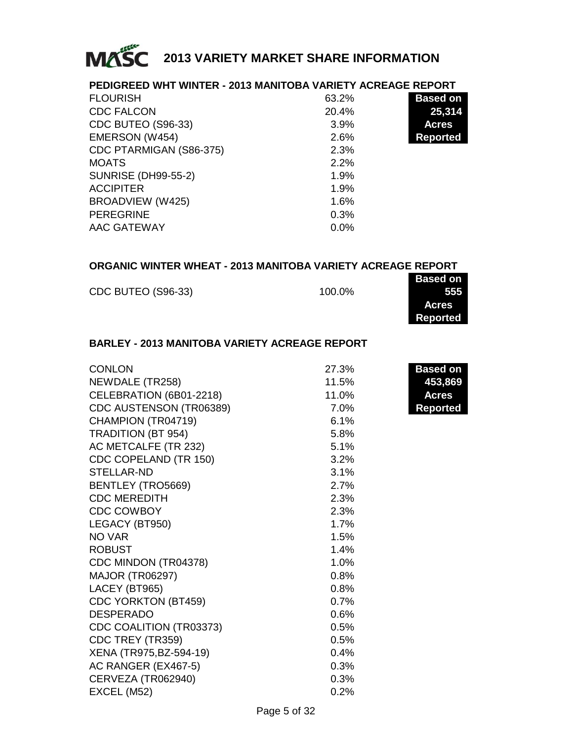

### **PEDIGREED WHT WINTER - 2013 MANITOBA VARIETY ACREAGE REPORT**

| <b>FLOURISH</b>            | 63.2% | <b>Based on</b> |
|----------------------------|-------|-----------------|
| <b>CDC FALCON</b>          | 20.4% | 25,314          |
| CDC BUTEO (S96-33)         | 3.9%  | <b>Acres</b>    |
| EMERSON (W454)             | 2.6%  | Reported        |
| CDC PTARMIGAN (S86-375)    | 2.3%  |                 |
| <b>MOATS</b>               | 2.2%  |                 |
| <b>SUNRISE (DH99-55-2)</b> | 1.9%  |                 |
| <b>ACCIPITER</b>           | 1.9%  |                 |
| BROADVIEW (W425)           | 1.6%  |                 |
| <b>PEREGRINE</b>           | 0.3%  |                 |
| AAC GATEWAY                | 0.0%  |                 |

### **ORGANIC WINTER WHEAT - 2013 MANITOBA VARIETY ACREAGE REPORT**

|                    |        | <b>Based on</b> |
|--------------------|--------|-----------------|
| CDC BUTEO (S96-33) | 100.0% | 555             |
|                    |        | <b>Acres</b>    |

**Reported**

### **BARLEY - 2013 MANITOBA VARIETY ACREAGE REPORT**

| <b>CONLON</b>             | 27.3% | <b>Based on</b> |
|---------------------------|-------|-----------------|
| NEWDALE (TR258)           | 11.5% | 453,869         |
| CELEBRATION (6B01-2218)   | 11.0% | <b>Acres</b>    |
| CDC AUSTENSON (TR06389)   | 7.0%  | Reported        |
| CHAMPION (TR04719)        | 6.1%  |                 |
| <b>TRADITION (BT 954)</b> | 5.8%  |                 |
| AC METCALFE (TR 232)      | 5.1%  |                 |
| CDC COPELAND (TR 150)     | 3.2%  |                 |
| STELLAR-ND                | 3.1%  |                 |
| BENTLEY (TRO5669)         | 2.7%  |                 |
| <b>CDC MEREDITH</b>       | 2.3%  |                 |
| <b>CDC COWBOY</b>         | 2.3%  |                 |
| LEGACY (BT950)            | 1.7%  |                 |
| NO VAR                    | 1.5%  |                 |
| <b>ROBUST</b>             | 1.4%  |                 |
| CDC MINDON (TR04378)      | 1.0%  |                 |
| <b>MAJOR (TR06297)</b>    | 0.8%  |                 |
| LACEY (BT965)             | 0.8%  |                 |
| CDC YORKTON (BT459)       | 0.7%  |                 |
| <b>DESPERADO</b>          | 0.6%  |                 |
| CDC COALITION (TR03373)   | 0.5%  |                 |
| CDC TREY (TR359)          | 0.5%  |                 |
| XENA (TR975, BZ-594-19)   | 0.4%  |                 |
| AC RANGER (EX467-5)       | 0.3%  |                 |
| CERVEZA (TR062940)        | 0.3%  |                 |
| EXCEL (M52)               | 0.2%  |                 |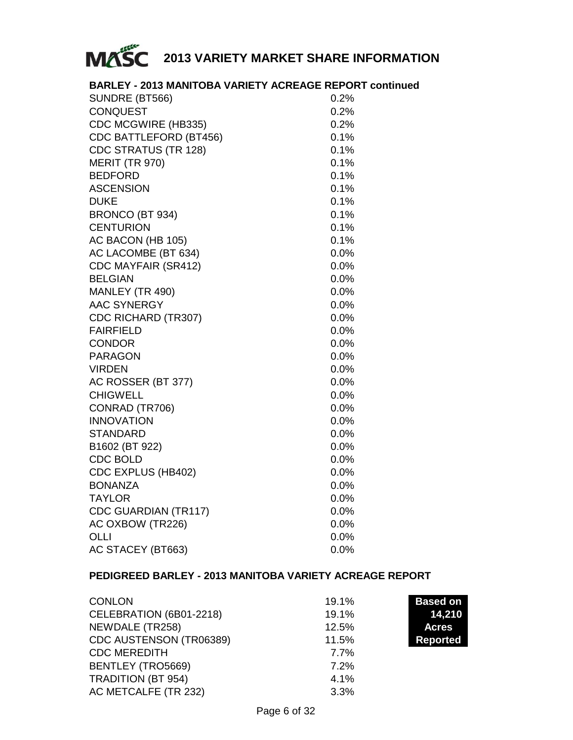

### **BARLEY - 2013 MANITOBA VARIETY ACREAGE REPORT continued**

| SUNDRE (BT566)         | 0.2%    |
|------------------------|---------|
| <b>CONQUEST</b>        | 0.2%    |
| CDC MCGWIRE (HB335)    | 0.2%    |
| CDC BATTLEFORD (BT456) | 0.1%    |
| CDC STRATUS (TR 128)   | 0.1%    |
| <b>MERIT (TR 970)</b>  | 0.1%    |
| <b>BEDFORD</b>         | 0.1%    |
| <b>ASCENSION</b>       | 0.1%    |
| <b>DUKE</b>            | 0.1%    |
| BRONCO (BT 934)        | 0.1%    |
| <b>CENTURION</b>       | 0.1%    |
| AC BACON (HB 105)      | 0.1%    |
| AC LACOMBE (BT 634)    | 0.0%    |
| CDC MAYFAIR (SR412)    | 0.0%    |
| <b>BELGIAN</b>         | 0.0%    |
| MANLEY (TR 490)        | 0.0%    |
| <b>AAC SYNERGY</b>     | 0.0%    |
| CDC RICHARD (TR307)    | 0.0%    |
| <b>FAIRFIELD</b>       | $0.0\%$ |
| <b>CONDOR</b>          | $0.0\%$ |
| <b>PARAGON</b>         | 0.0%    |
| <b>VIRDEN</b>          | 0.0%    |
| AC ROSSER (BT 377)     | 0.0%    |
| <b>CHIGWELL</b>        | 0.0%    |
| CONRAD (TR706)         | 0.0%    |
| <b>INNOVATION</b>      | 0.0%    |
| STANDARD               | 0.0%    |
| B1602 (BT 922)         | 0.0%    |
| <b>CDC BOLD</b>        | 0.0%    |
| CDC EXPLUS (HB402)     | 0.0%    |
| <b>BONANZA</b>         | 0.0%    |
| <b>TAYLOR</b>          | 0.0%    |
| CDC GUARDIAN (TR117)   | 0.0%    |
| AC OXBOW (TR226)       | 0.0%    |
| OLLI                   | 0.0%    |
| AC STACEY (BT663)      | 0.0%    |

### **PEDIGREED BARLEY - 2013 MANITOBA VARIETY ACREAGE REPORT**

| <b>CONLON</b>           | 19.1% | <b>Based on</b> |
|-------------------------|-------|-----------------|
| CELEBRATION (6B01-2218) | 19.1% | 14,210          |
| NEWDALE (TR258)         | 12.5% | <b>Acres</b>    |
| CDC AUSTENSON (TR06389) | 11.5% | <b>Reported</b> |
| <b>CDC MEREDITH</b>     | 7.7%  |                 |
| BENTLEY (TRO5669)       | 7.2%  |                 |
| TRADITION (BT 954)      | 4.1%  |                 |
| AC METCALFE (TR 232)    | 3.3%  |                 |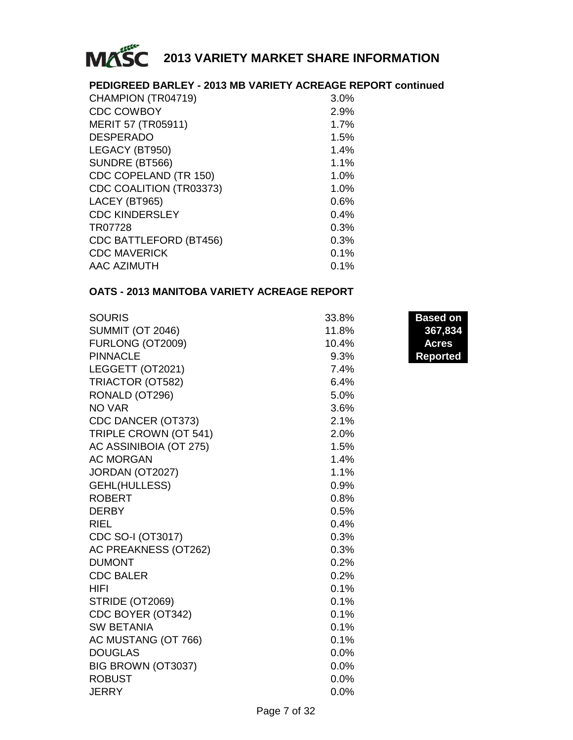

### **PEDIGREED BARLEY - 2013 MB VARIETY ACREAGE REPORT continued**

| CHAMPION (TR04719)            | 3.0% |
|-------------------------------|------|
| <b>CDC COWBOY</b>             | 2.9% |
| MERIT 57 (TR05911)            | 1.7% |
| <b>DESPERADO</b>              | 1.5% |
| LEGACY (BT950)                | 1.4% |
| SUNDRE (BT566)                | 1.1% |
| CDC COPELAND (TR 150)         | 1.0% |
| CDC COALITION (TR03373)       | 1.0% |
| LACEY (BT965)                 | 0.6% |
| <b>CDC KINDERSLEY</b>         | 0.4% |
| TR07728                       | 0.3% |
| <b>CDC BATTLEFORD (BT456)</b> | 0.3% |
| <b>CDC MAVERICK</b>           | 0.1% |
| AAC AZIMUTH                   | 0.1% |
|                               |      |

### **OATS - 2013 MANITOBA VARIETY ACREAGE REPORT**

| 33.8% | Based o      |
|-------|--------------|
| 11.8% | 367,8        |
| 10.4% | <b>Acres</b> |
| 9.3%  | Reporte      |
| 7.4%  |              |
| 6.4%  |              |
| 5.0%  |              |
| 3.6%  |              |
| 2.1%  |              |
| 2.0%  |              |
| 1.5%  |              |
| 1.4%  |              |
| 1.1%  |              |
| 0.9%  |              |
| 0.8%  |              |
| 0.5%  |              |
| 0.4%  |              |
| 0.3%  |              |
| 0.3%  |              |
| 0.2%  |              |
| 0.2%  |              |
| 0.1%  |              |
| 0.1%  |              |
| 0.1%  |              |
| 0.1%  |              |
| 0.1%  |              |
| 0.0%  |              |
| 0.0%  |              |
| 0.0%  |              |
| 0.0%  |              |
|       |              |

**Based on** SUMMIT (OT 2046) 43,314 11.8% **367,834 Reported**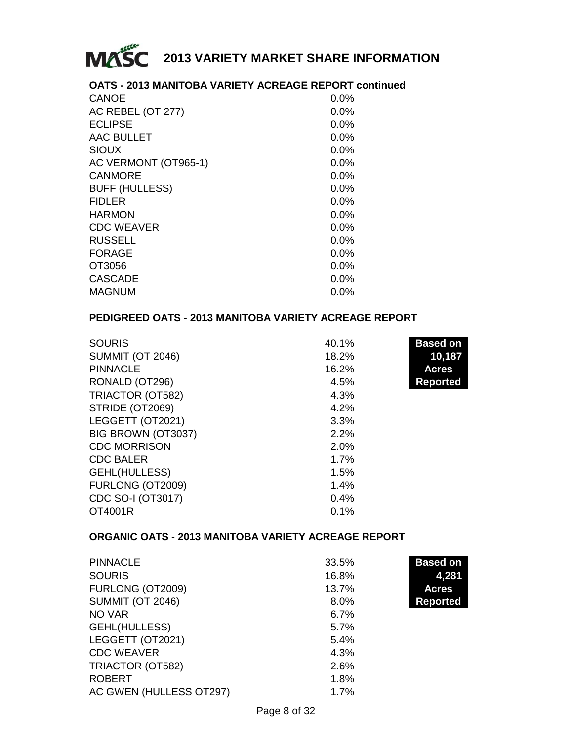

### **OATS - 2013 MANITOBA VARIETY ACREAGE REPORT continued**

| <b>CANOE</b>          | 0.0%    |
|-----------------------|---------|
| AC REBEL (OT 277)     | $0.0\%$ |
| <b>ECLIPSE</b>        | $0.0\%$ |
| AAC BULLET            | $0.0\%$ |
| <b>SIOUX</b>          | $0.0\%$ |
| AC VERMONT (OT965-1)  | $0.0\%$ |
| <b>CANMORE</b>        | $0.0\%$ |
| <b>BUFF (HULLESS)</b> | $0.0\%$ |
| <b>FIDLER</b>         | $0.0\%$ |
| <b>HARMON</b>         | 0.0%    |
| <b>CDC WEAVER</b>     | $0.0\%$ |
| <b>RUSSELL</b>        | $0.0\%$ |
| <b>FORAGE</b>         | $0.0\%$ |
| OT3056                | $0.0\%$ |
| <b>CASCADE</b>        | $0.0\%$ |
| <b>MAGNUM</b>         | $0.0\%$ |

### **PEDIGREED OATS - 2013 MANITOBA VARIETY ACREAGE REPORT**

| <b>SOURIS</b>           | 40.1% | <b>Based on</b> |
|-------------------------|-------|-----------------|
| <b>SUMMIT (OT 2046)</b> | 18.2% | 10,187          |
| <b>PINNACLE</b>         | 16.2% | <b>Acres</b>    |
| RONALD (OT296)          | 4.5%  | <b>Reported</b> |
| TRIACTOR (OT582)        | 4.3%  |                 |
| STRIDE (OT2069)         | 4.2%  |                 |
| LEGGETT (OT2021)        | 3.3%  |                 |
| BIG BROWN (OT3037)      | 2.2%  |                 |
| <b>CDC MORRISON</b>     | 2.0%  |                 |
| <b>CDC BALER</b>        | 1.7%  |                 |
| GEHL(HULLESS)           | 1.5%  |                 |
| FURLONG (OT2009)        | 1.4%  |                 |
| CDC SO-I (OT3017)       | 0.4%  |                 |
| OT4001R                 | 0.1%  |                 |

### **ORGANIC OATS - 2013 MANITOBA VARIETY ACREAGE REPORT**

| <b>PINNACLE</b>         | 33.5%   | <b>Based on</b> |
|-------------------------|---------|-----------------|
| <b>SOURIS</b>           | 16.8%   | 4,281           |
| FURLONG (OT2009)        | 13.7%   | <b>Acres</b>    |
| <b>SUMMIT (OT 2046)</b> | $8.0\%$ | <b>Reported</b> |
| NO VAR                  | 6.7%    |                 |
| <b>GEHL(HULLESS)</b>    | 5.7%    |                 |
| LEGGETT (OT2021)        | 5.4%    |                 |
| <b>CDC WEAVER</b>       | 4.3%    |                 |
| TRIACTOR (OT582)        | 2.6%    |                 |
| <b>ROBERT</b>           | 1.8%    |                 |
| AC GWEN (HULLESS OT297) | 1.7%    |                 |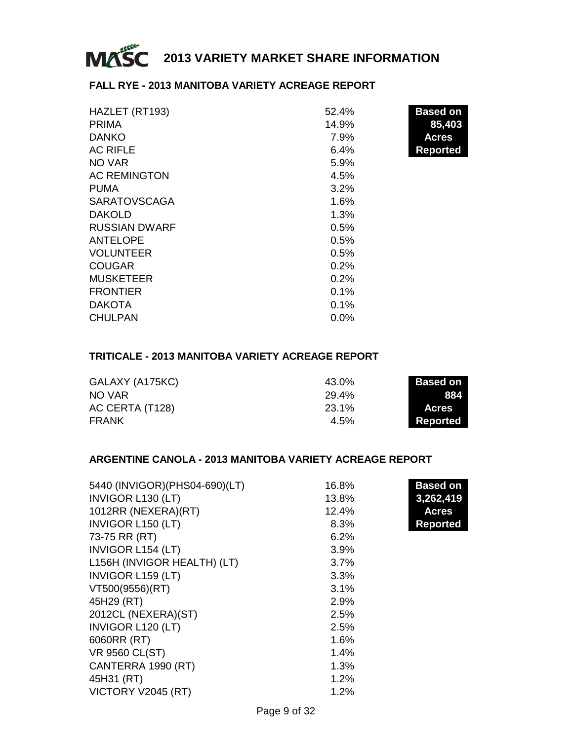

### **FALL RYE - 2013 MANITOBA VARIETY ACREAGE REPORT**

| HAZLET (RT193)       | 52.4%   | <b>Based on</b> |
|----------------------|---------|-----------------|
| <b>PRIMA</b>         | 14.9%   | 85,403          |
| <b>DANKO</b>         | 7.9%    | <b>Acres</b>    |
| <b>AC RIFLE</b>      | 6.4%    | <b>Reported</b> |
| NO VAR               | 5.9%    |                 |
| <b>AC REMINGTON</b>  | 4.5%    |                 |
| <b>PUMA</b>          | 3.2%    |                 |
| <b>SARATOVSCAGA</b>  | 1.6%    |                 |
| <b>DAKOLD</b>        | 1.3%    |                 |
| <b>RUSSIAN DWARF</b> | 0.5%    |                 |
| <b>ANTELOPE</b>      | 0.5%    |                 |
| <b>VOLUNTEER</b>     | 0.5%    |                 |
| <b>COUGAR</b>        | 0.2%    |                 |
| <b>MUSKETEER</b>     | 0.2%    |                 |
| <b>FRONTIER</b>      | 0.1%    |                 |
| <b>DAKOTA</b>        | 0.1%    |                 |
| <b>CHULPAN</b>       | $0.0\%$ |                 |

### **TRITICALE - 2013 MANITOBA VARIETY ACREAGE REPORT**

| GALAXY (A175KC) | 43.0%   | <b>Based on</b> |
|-----------------|---------|-----------------|
| NO VAR          | 29.4%   | 884             |
| AC CERTA (T128) | 23.1%   | <b>Acres</b>    |
| FRANK           | $4.5\%$ | Reported        |

### **ARGENTINE CANOLA - 2013 MANITOBA VARIETY ACREAGE REPORT**

| 5440 (INVIGOR) (PHS04-690) (LT) | 16.8% | <b>Based on</b> |
|---------------------------------|-------|-----------------|
| INVIGOR L130 (LT)               | 13.8% | 3,262,419       |
| 1012RR (NEXERA)(RT)             | 12.4% | <b>Acres</b>    |
| <b>INVIGOR L150 (LT)</b>        | 8.3%  | <b>Reported</b> |
| 73-75 RR (RT)                   | 6.2%  |                 |
| <b>INVIGOR L154 (LT)</b>        | 3.9%  |                 |
| L156H (INVIGOR HEALTH) (LT)     | 3.7%  |                 |
| <b>INVIGOR L159 (LT)</b>        | 3.3%  |                 |
| VT500(9556)(RT)                 | 3.1%  |                 |
| 45H29 (RT)                      | 2.9%  |                 |
| 2012CL (NEXERA)(ST)             | 2.5%  |                 |
| INVIGOR L120 (LT)               | 2.5%  |                 |
| 6060RR (RT)                     | 1.6%  |                 |
| VR 9560 CL(ST)                  | 1.4%  |                 |
| CANTERRA 1990 (RT)              | 1.3%  |                 |
| 45H31 (RT)                      | 1.2%  |                 |
| VICTORY V2045 (RT)              | 1.2%  |                 |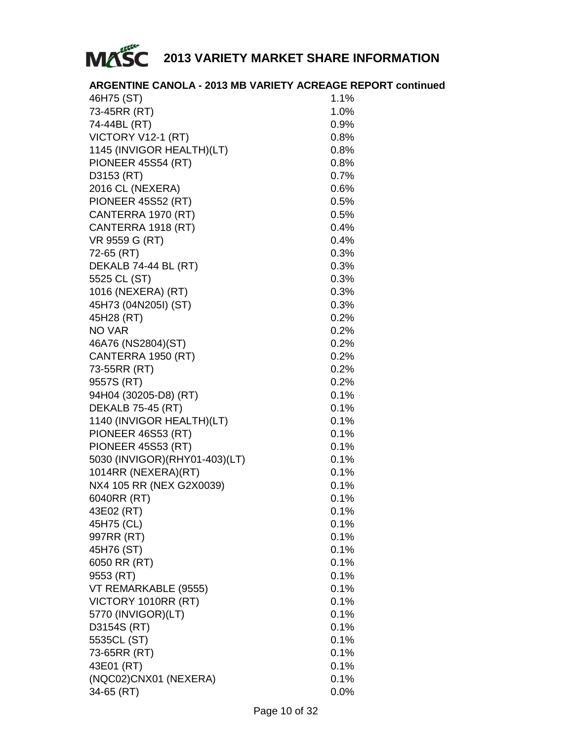

### **ARGENTINE CANOLA - 2013 MB VARIETY ACREAGE REPORT continued**

| 46H75 (ST)                      | 1.1%    |
|---------------------------------|---------|
| 73-45RR (RT)                    | 1.0%    |
| 74-44BL (RT)                    | 0.9%    |
| VICTORY V12-1 (RT)              | $0.8\%$ |
| 1145 (INVIGOR HEALTH)(LT)       | 0.8%    |
| PIONEER 45S54 (RT)              | 0.8%    |
| D3153 (RT)                      | 0.7%    |
| 2016 CL (NEXERA)                | 0.6%    |
| PIONEER 45S52 (RT)              | 0.5%    |
| CANTERRA 1970 (RT)              | 0.5%    |
| CANTERRA 1918 (RT)              | 0.4%    |
| VR 9559 G (RT)                  | 0.4%    |
| 72-65 (RT)                      | 0.3%    |
| DEKALB 74-44 BL (RT)            | 0.3%    |
| 5525 CL (ST)                    | 0.3%    |
| 1016 (NEXERA) (RT)              | 0.3%    |
| 45H73 (04N205I) (ST)            | 0.3%    |
| 45H28 (RT)                      | 0.2%    |
| NO VAR                          | $0.2\%$ |
| 46A76 (NS2804)(ST)              | $0.2\%$ |
| CANTERRA 1950 (RT)              | $0.2\%$ |
| 73-55RR (RT)                    | $0.2\%$ |
| 9557S (RT)                      | 0.2%    |
| 94H04 (30205-D8) (RT)           | 0.1%    |
| <b>DEKALB 75-45 (RT)</b>        | 0.1%    |
| 1140 (INVIGOR HEALTH)(LT)       | 0.1%    |
| PIONEER 46S53 (RT)              | 0.1%    |
| <b>PIONEER 45S53 (RT)</b>       | 0.1%    |
| 5030 (INVIGOR) (RHY01-403) (LT) | 0.1%    |
| 1014RR (NEXERA)(RT)             | $0.1\%$ |
| NX4 105 RR (NEX G2X0039)        | $0.1\%$ |
| 6040RR (RT)                     | $0.1\%$ |
| 43E02 (RT)                      | $0.1\%$ |
| 45H75 (CL)                      | 0.1%    |
| 997RR (RT)                      | 0.1%    |
| 45H76 (ST)                      | 0.1%    |
| 6050 RR (RT)                    | 0.1%    |
| 9553 (RT)                       | 0.1%    |
| VT REMARKABLE (9555)            | 0.1%    |
| VICTORY 1010RR (RT)             | 0.1%    |
| 5770 (INVIGOR)(LT)              | 0.1%    |
| D3154S (RT)                     | 0.1%    |
| 5535CL (ST)                     | 0.1%    |
| 73-65RR (RT)                    | 0.1%    |
| 43E01 (RT)                      | 0.1%    |
| (NQC02)CNX01 (NEXERA)           | 0.1%    |
| 34-65 (RT)                      | 0.0%    |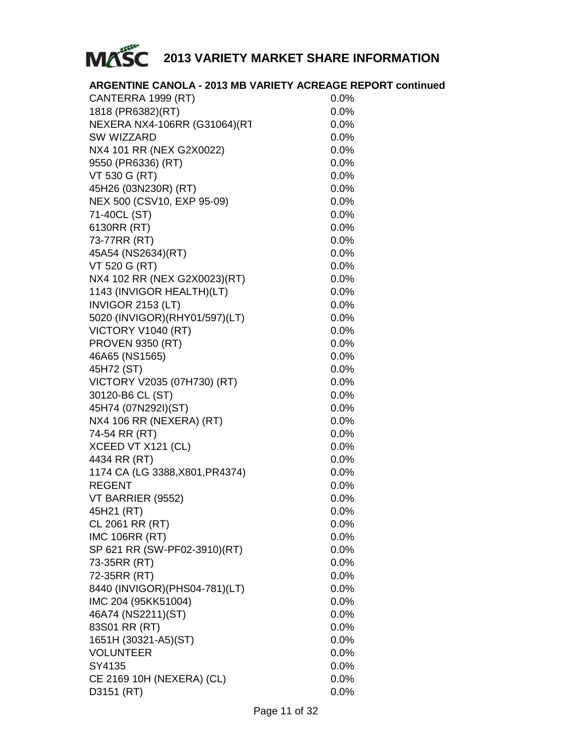

|                                 | <b>ARGENTINE CANOLA - 2013 MB VARIETY ACREAGE REPORT continued</b> |
|---------------------------------|--------------------------------------------------------------------|
| CANTERRA 1999 (RT)              | 0.0%                                                               |
| 1818 (PR6382) (RT)              | 0.0%                                                               |
| NEXERA NX4-106RR (G31064)(RT    | 0.0%                                                               |
| SW WIZZARD                      | 0.0%                                                               |
| NX4 101 RR (NEX G2X0022)        | 0.0%                                                               |
| 9550 (PR6336) (RT)              | 0.0%                                                               |
| VT 530 G (RT)                   | 0.0%                                                               |
| 45H26 (03N230R) (RT)            | 0.0%                                                               |
| NEX 500 (CSV10, EXP 95-09)      | 0.0%                                                               |
| 71-40CL (ST)                    | 0.0%                                                               |
| 6130RR (RT)                     | 0.0%                                                               |
| 73-77RR (RT)                    | 0.0%                                                               |
| 45A54 (NS2634)(RT)              | 0.0%                                                               |
| VT 520 G (RT)                   | 0.0%                                                               |
| NX4 102 RR (NEX G2X0023)(RT)    | 0.0%                                                               |
| 1143 (INVIGOR HEALTH)(LT)       | 0.0%                                                               |
| INVIGOR 2153 (LT)               | 0.0%                                                               |
| 5020 (INVIGOR) (RHY01/597) (LT) | 0.0%                                                               |
| VICTORY V1040 (RT)              | 0.0%                                                               |
| <b>PROVEN 9350 (RT)</b>         | 0.0%                                                               |
| 46A65 (NS1565)                  | 0.0%                                                               |
| 45H72 (ST)                      | 0.0%                                                               |
| VICTORY V2035 (07H730) (RT)     | 0.0%                                                               |
| 30120-B6 CL (ST)                | 0.0%                                                               |
| 45H74 (07N292I)(ST)             | 0.0%                                                               |
| NX4 106 RR (NEXERA) (RT)        | 0.0%                                                               |
| 74-54 RR (RT)                   | 0.0%                                                               |
| XCEED VT X121 (CL)              | 0.0%                                                               |
| 4434 RR (RT)                    | 0.0%                                                               |
| 1174 CA (LG 3388, X801, PR4374) | 0.0%                                                               |
| <b>REGENT</b>                   | 0.0%                                                               |
| VT BARRIER (9552)               | 0.0%                                                               |
| 45H21 (RT)                      | 0.0%                                                               |
| CL 2061 RR (RT)                 | 0.0%                                                               |
| <b>IMC 106RR (RT)</b>           | 0.0%                                                               |
| SP 621 RR (SW-PF02-3910)(RT)    | 0.0%                                                               |
| 73-35RR (RT)                    | 0.0%                                                               |
| 72-35RR (RT)                    | 0.0%                                                               |
| 8440 (INVIGOR) (PHS04-781) (LT) | 0.0%                                                               |
| IMC 204 (95KK51004)             | 0.0%                                                               |
| 46A74 (NS2211)(ST)              | 0.0%                                                               |
| 83S01 RR (RT)                   | 0.0%                                                               |
| 1651H (30321-A5)(ST)            | 0.0%                                                               |
| <b>VOLUNTEER</b>                | 0.0%                                                               |
| SY4135                          | 0.0%                                                               |
| CE 2169 10H (NEXERA) (CL)       | 0.0%                                                               |
| D3151 (RT)                      | 0.0%                                                               |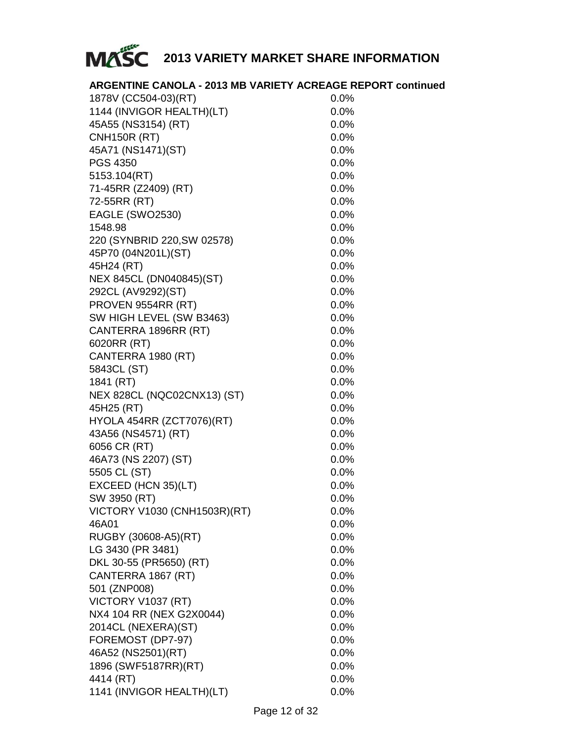

### **ARGENTINE CANOLA - 2013 MB VARIETY ACREAGE REPORT continued**

| 1878V (CC504-03)(RT)         | $0.0\%$ |
|------------------------------|---------|
| 1144 (INVIGOR HEALTH)(LT)    | 0.0%    |
| 45A55 (NS3154) (RT)          | 0.0%    |
| <b>CNH150R (RT)</b>          | 0.0%    |
| 45A71 (NS1471)(ST)           | 0.0%    |
| PGS 4350                     | 0.0%    |
| 5153.104(RT)                 | 0.0%    |
| 71-45RR (Z2409) (RT)         | $0.0\%$ |
| 72-55RR (RT)                 | $0.0\%$ |
| EAGLE (SWO2530)              | $0.0\%$ |
| 1548.98                      | $0.0\%$ |
| 220 (SYNBRID 220, SW 02578)  | 0.0%    |
| 45P70 (04N201L)(ST)          | 0.0%    |
| 45H24 (RT)                   | 0.0%    |
| NEX 845CL (DN040845)(ST)     | $0.0\%$ |
| 292CL (AV9292)(ST)           | 0.0%    |
| PROVEN 9554RR (RT)           | $0.0\%$ |
| SW HIGH LEVEL (SW B3463)     | 0.0%    |
| CANTERRA 1896RR (RT)         | $0.0\%$ |
| 6020RR (RT)                  | $0.0\%$ |
| CANTERRA 1980 (RT)           | $0.0\%$ |
| 5843CL (ST)                  | $0.0\%$ |
| 1841 (RT)                    | 0.0%    |
| NEX 828CL (NQC02CNX13) (ST)  | 0.0%    |
| 45H25 (RT)                   | 0.0%    |
| HYOLA 454RR (ZCT7076)(RT)    | 0.0%    |
| 43A56 (NS4571) (RT)          | 0.0%    |
| 6056 CR (RT)                 | 0.0%    |
| 46A73 (NS 2207) (ST)         | 0.0%    |
| 5505 CL (ST)                 | $0.0\%$ |
| EXCEED (HCN 35)(LT)          | $0.0\%$ |
| SW 3950 (RT)                 | 0.0%    |
| VICTORY V1030 (CNH1503R)(RT) | $0.0\%$ |
| 46A01                        | 0.0%    |
| RUGBY (30608-A5)(RT)         | 0.0%    |
| LG 3430 (PR 3481)            | 0.0%    |
| DKL 30-55 (PR5650) (RT)      | $0.0\%$ |
| CANTERRA 1867 (RT)           | 0.0%    |
| 501 (ZNP008)                 | $0.0\%$ |
| VICTORY V1037 (RT)           | 0.0%    |
| NX4 104 RR (NEX G2X0044)     | $0.0\%$ |
| 2014CL (NEXERA)(ST)          | $0.0\%$ |
| FOREMOST (DP7-97)            | $0.0\%$ |
| 46A52 (NS2501)(RT)           | 0.0%    |
| 1896 (SWF5187RR)(RT)         | 0.0%    |
| 4414 (RT)                    | 0.0%    |
| 1141 (INVIGOR HEALTH)(LT)    | 0.0%    |
|                              |         |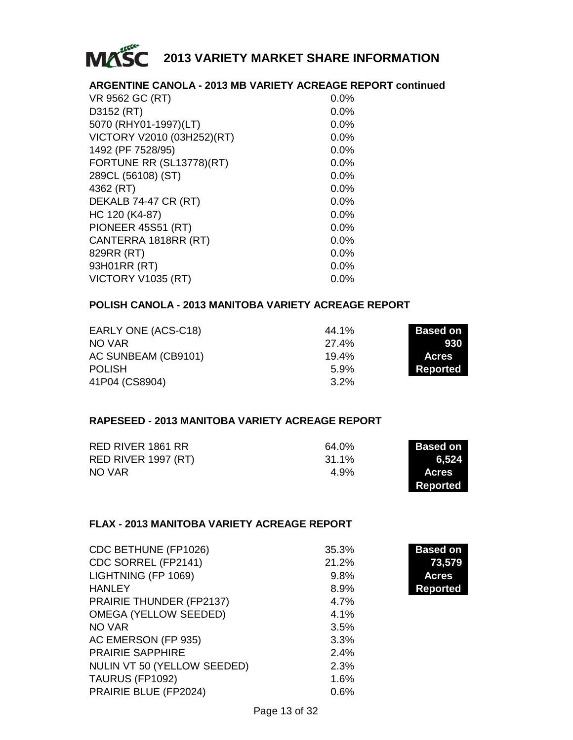

### **ARGENTINE CANOLA - 2013 MB VARIETY ACREAGE REPORT continued**

| VR 9562 GC (RT)            | 0.0%    |
|----------------------------|---------|
| D3152 (RT)                 | 0.0%    |
| 5070 (RHY01-1997)(LT)      | 0.0%    |
| VICTORY V2010 (03H252)(RT) | 0.0%    |
| 1492 (PF 7528/95)          | 0.0%    |
| FORTUNE RR (SL13778)(RT)   | 0.0%    |
| 289CL (56108) (ST)         | $0.0\%$ |
| 4362 (RT)                  | 0.0%    |
| DEKALB 74-47 CR (RT)       | 0.0%    |
| HC 120 (K4-87)             | 0.0%    |
| PIONEER 45S51 (RT)         | 0.0%    |
| CANTERRA 1818RR (RT)       | 0.0%    |
| 829RR (RT)                 | 0.0%    |
| 93H01RR (RT)               | 0.0%    |
| VICTORY V1035 (RT)         | $0.0\%$ |

### **POLISH CANOLA - 2013 MANITOBA VARIETY ACREAGE REPORT**

| EARLY ONE (ACS-C18) | 44.1%   | <b>Based on</b> |
|---------------------|---------|-----------------|
| NO VAR              | 27.4%   | 930             |
| AC SUNBEAM (CB9101) | 19.4%   | <b>Acres</b>    |
| <b>POLISH</b>       | 5.9%    | Reported        |
| 41P04 (CS8904)      | $3.2\%$ |                 |

### **RAPESEED - 2013 MANITOBA VARIETY ACREAGE REPORT**

| RED RIVER 1861 RR   | 64.0% | Based on     |
|---------------------|-------|--------------|
| RED RIVER 1997 (RT) | 31.1% | 6.524        |
| NO VAR              | 4.9%  | <b>Acres</b> |
|                     |       | Reported     |

### **FLAX - 2013 MANITOBA VARIETY ACREAGE REPORT**

| CDC BETHUNE (FP1026)        | 35.3% | <b>Based on</b> |
|-----------------------------|-------|-----------------|
| CDC SORREL (FP2141)         | 21.2% | 73,579          |
| LIGHTNING (FP 1069)         | 9.8%  | Acres           |
| <b>HANLEY</b>               | 8.9%  | <b>Reported</b> |
| PRAIRIE THUNDER (FP2137)    | 4.7%  |                 |
| OMEGA (YELLOW SEEDED)       | 4.1%  |                 |
| NO VAR                      | 3.5%  |                 |
| AC EMERSON (FP 935)         | 3.3%  |                 |
| <b>PRAIRIE SAPPHIRE</b>     | 2.4%  |                 |
| NULIN VT 50 (YELLOW SEEDED) | 2.3%  |                 |
| TAURUS (FP1092)             | 1.6%  |                 |
| PRAIRIE BLUE (FP2024)       | 0.6%  |                 |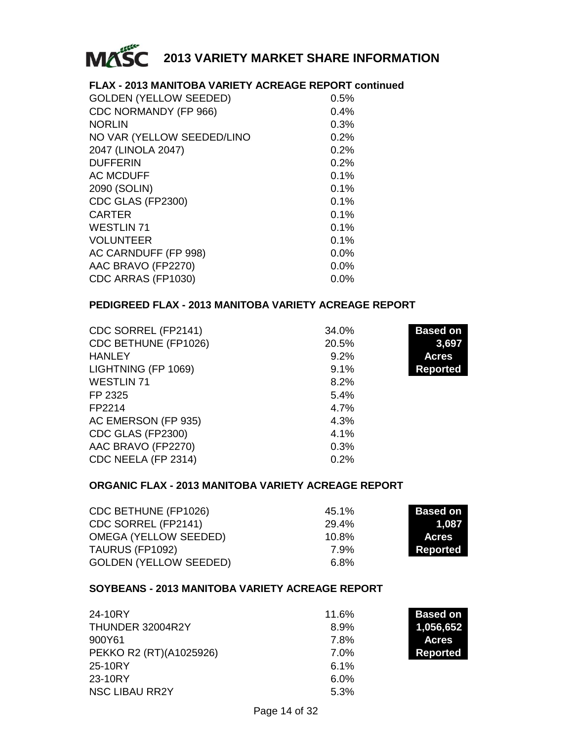

### **FLAX - 2013 MANITOBA VARIETY ACREAGE REPORT continued**

| 0.5%    |
|---------|
| 0.4%    |
| 0.3%    |
| 0.2%    |
| 0.2%    |
| 0.2%    |
| 0.1%    |
| 0.1%    |
| 0.1%    |
| 0.1%    |
| 0.1%    |
| 0.1%    |
| 0.0%    |
| 0.0%    |
| $0.0\%$ |
|         |

### **PEDIGREED FLAX - 2013 MANITOBA VARIETY ACREAGE REPORT**

| CDC SORREL (FP2141)  | 34.0% | <b>Based on</b> |
|----------------------|-------|-----------------|
| CDC BETHUNE (FP1026) | 20.5% | 3,697           |
| <b>HANLEY</b>        | 9.2%  | <b>Acres</b>    |
| LIGHTNING (FP 1069)  | 9.1%  | <b>Reported</b> |
| <b>WESTLIN 71</b>    | 8.2%  |                 |
| FP 2325              | 5.4%  |                 |
| FP2214               | 4.7%  |                 |
| AC EMERSON (FP 935)  | 4.3%  |                 |
| CDC GLAS (FP2300)    | 4.1%  |                 |
| AAC BRAVO (FP2270)   | 0.3%  |                 |
| CDC NEELA (FP 2314)  | 0.2%  |                 |

### **ORGANIC FLAX - 2013 MANITOBA VARIETY ACREAGE REPORT**

| CDC BETHUNE (FP1026)          | 45.1% | Based on        |
|-------------------------------|-------|-----------------|
| CDC SORREL (FP2141)           | 29.4% | 1.087           |
| OMEGA (YELLOW SEEDED)         | 10.8% | Acres           |
| TAURUS (FP1092)               | 7.9%  | <b>Reported</b> |
| <b>GOLDEN (YELLOW SEEDED)</b> | 6.8%  |                 |

### **SOYBEANS - 2013 MANITOBA VARIETY ACREAGE REPORT**

| 24-10RY                 | 11.6%   | <b>Based on</b> |
|-------------------------|---------|-----------------|
| THUNDER 32004R2Y        | 8.9%    | 1,056,652       |
| 900Y61                  | 7.8%    | <b>Acres</b>    |
| PEKKO R2 (RT)(A1025926) | $7.0\%$ | <b>Reported</b> |
| 25-10RY                 | 6.1%    |                 |
| 23-10RY                 | 6.0%    |                 |
| <b>NSC LIBAU RR2Y</b>   | 5.3%    |                 |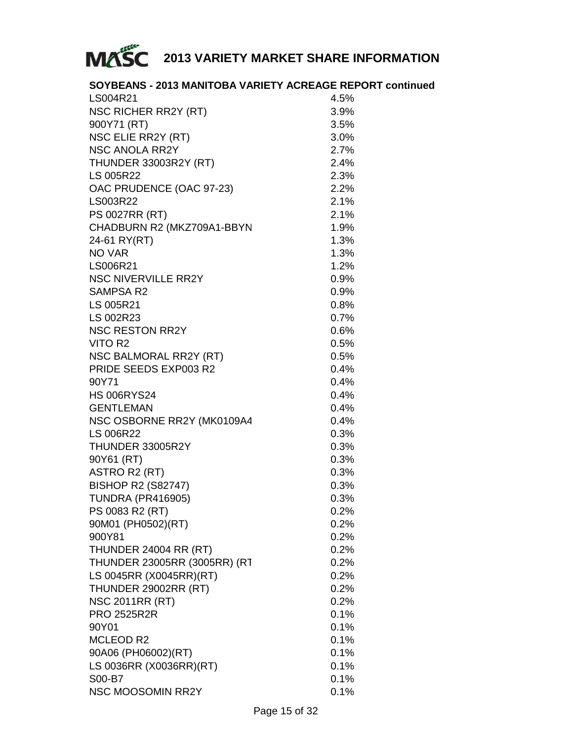

### **SOYBEANS - 2013 MANITOBA VARIETY ACREAGE REPORT continued**

| LS004R21                     | 4.5% |
|------------------------------|------|
| NSC RICHER RR2Y (RT)         | 3.9% |
| 900Y71 (RT)                  | 3.5% |
| NSC ELIE RR2Y (RT)           | 3.0% |
| <b>NSC ANOLA RR2Y</b>        | 2.7% |
| <b>THUNDER 33003R2Y (RT)</b> | 2.4% |
| LS 005R22                    | 2.3% |
| OAC PRUDENCE (OAC 97-23)     | 2.2% |
| LS003R22                     | 2.1% |
| <b>PS 0027RR (RT)</b>        | 2.1% |
| CHADBURN R2 (MKZ709A1-BBYN   | 1.9% |
| 24-61 RY(RT)                 | 1.3% |
| NO VAR                       | 1.3% |
| LS006R21                     | 1.2% |
| <b>NSC NIVERVILLE RR2Y</b>   | 0.9% |
| <b>SAMPSA R2</b>             | 0.9% |
| LS 005R21                    | 0.8% |
| LS 002R23                    | 0.7% |
| <b>NSC RESTON RR2Y</b>       | 0.6% |
| VITO R2                      | 0.5% |
| NSC BALMORAL RR2Y (RT)       | 0.5% |
| PRIDE SEEDS EXP003 R2        | 0.4% |
| 90Y71                        | 0.4% |
| <b>HS 006RYS24</b>           | 0.4% |
| <b>GENTLEMAN</b>             | 0.4% |
| NSC OSBORNE RR2Y (MK0109A4   | 0.4% |
| LS 006R22                    | 0.3% |
| THUNDER 33005R2Y             | 0.3% |
| 90Y61 (RT)                   | 0.3% |
| ASTRO R2 (RT)                | 0.3% |
| <b>BISHOP R2 (S82747)</b>    | 0.3% |
| <b>TUNDRA (PR416905)</b>     | 0.3% |
| PS 0083 R2 (RT)              | 0.2% |
| 90M01 (PH0502)(RT)           | 0.2% |
| 900Y81                       | 0.2% |
| THUNDER 24004 RR (RT)        | 0.2% |
| THUNDER 23005RR (3005RR) (RT | 0.2% |
| LS 0045RR (X0045RR)(RT)      | 0.2% |
| THUNDER 29002RR (RT)         | 0.2% |
|                              |      |
| <b>NSC 2011RR (RT)</b>       | 0.2% |
| <b>PRO 2525R2R</b>           | 0.1% |
| 90Y01                        | 0.1% |
| <b>MCLEOD R2</b>             | 0.1% |
| 90A06 (PH06002)(RT)          | 0.1% |
| LS 0036RR (X0036RR)(RT)      | 0.1% |
| S00-B7                       | 0.1% |
| <b>NSC MOOSOMIN RR2Y</b>     | 0.1% |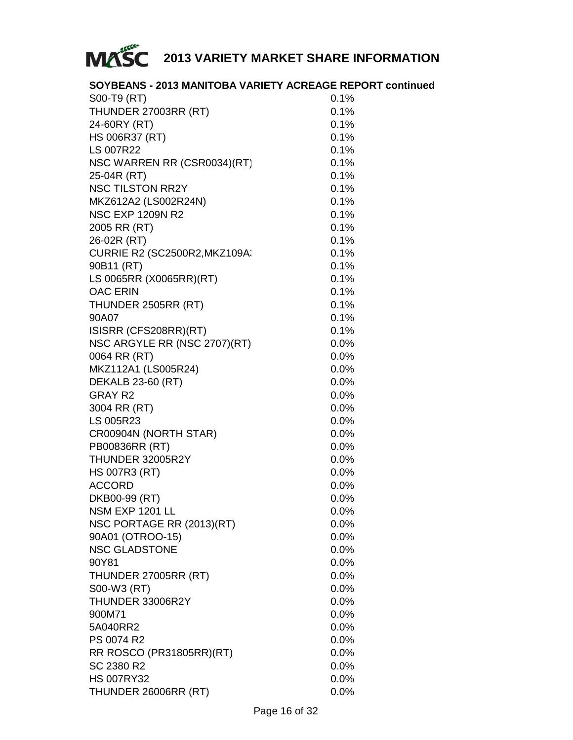

### **SOYBEANS - 2013 MANITOBA VARIETY ACREAGE REPORT continued**

| S00-T9 (RT)                          | 0.1%    |
|--------------------------------------|---------|
| THUNDER 27003RR (RT)                 | 0.1%    |
| 24-60RY (RT)                         | 0.1%    |
| HS 006R37 (RT)                       | 0.1%    |
| LS 007R22                            | 0.1%    |
| NSC WARREN RR (CSR0034)(RT)          | 0.1%    |
| 25-04R (RT)                          | 0.1%    |
| <b>NSC TILSTON RR2Y</b>              | 0.1%    |
| MKZ612A2 (LS002R24N)                 | 0.1%    |
| <b>NSC EXP 1209N R2</b>              | 0.1%    |
| 2005 RR (RT)                         | 0.1%    |
| 26-02R (RT)                          | 0.1%    |
| <b>CURRIE R2 (SC2500R2, MKZ109A:</b> | 0.1%    |
| 90B11 (RT)                           | 0.1%    |
| LS 0065RR (X0065RR)(RT)              | 0.1%    |
| <b>OAC ERIN</b>                      | 0.1%    |
| THUNDER 2505RR (RT)                  | 0.1%    |
| 90A07                                | 0.1%    |
| ISISRR (CFS208RR)(RT)                | 0.1%    |
| NSC ARGYLE RR (NSC 2707)(RT)         | 0.0%    |
| 0064 RR (RT)                         | 0.0%    |
| MKZ112A1 (LS005R24)                  | 0.0%    |
| <b>DEKALB 23-60 (RT)</b>             | 0.0%    |
| <b>GRAY R2</b>                       | 0.0%    |
| 3004 RR (RT)                         | 0.0%    |
| LS 005R23                            | 0.0%    |
| CR00904N (NORTH STAR)                | 0.0%    |
| PB00836RR (RT)                       | 0.0%    |
| THUNDER 32005R2Y                     | 0.0%    |
| <b>HS 007R3 (RT)</b>                 | $0.0\%$ |
| <b>ACCORD</b>                        | 0.0%    |
| DKB00-99 (RT)                        | 0.0%    |
| NSM EXP 1201 LL                      | $0.0\%$ |
| NSC PORTAGE RR (2013)(RT)            | 0.0%    |
| 90A01 (OTROO-15)                     | 0.0%    |
| <b>NSC GLADSTONE</b>                 | 0.0%    |
| 90Y81                                | $0.0\%$ |
| THUNDER 27005RR (RT)                 | 0.0%    |
| S00-W3 (RT)                          | 0.0%    |
| THUNDER 33006R2Y                     | 0.0%    |
| 900M71                               | $0.0\%$ |
| 5A040RR2                             | 0.0%    |
| PS 0074 R2                           | 0.0%    |
| RR ROSCO (PR31805RR)(RT)             | 0.0%    |
| SC 2380 R2                           | 0.0%    |
| <b>HS 007RY32</b>                    | 0.0%    |
| THUNDER 26006RR (RT)                 | 0.0%    |
|                                      |         |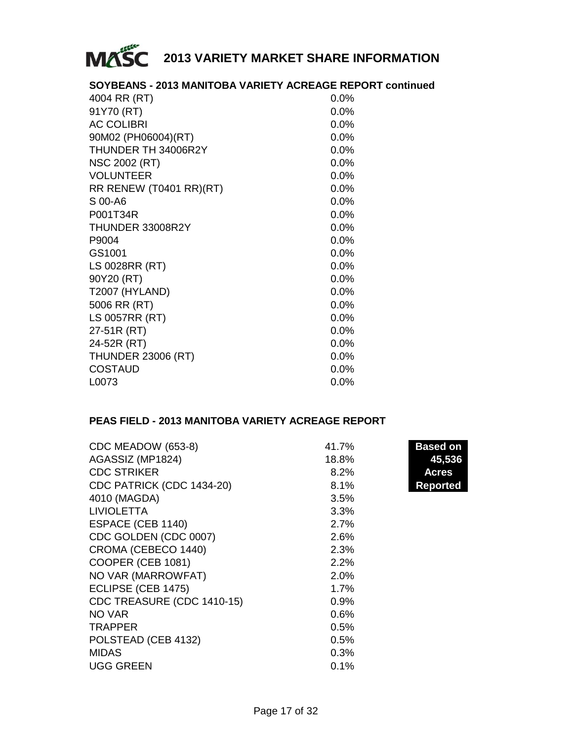

### **SOYBEANS - 2013 MANITOBA VARIETY ACREAGE REPORT continued**

| 4004 RR (RT)              | $0.0\%$ |
|---------------------------|---------|
| 91Y70 (RT)                | 0.0%    |
| <b>AC COLIBRI</b>         | $0.0\%$ |
| 90M02 (PH06004)(RT)       | $0.0\%$ |
| THUNDER TH 34006R2Y       | $0.0\%$ |
| <b>NSC 2002 (RT)</b>      | $0.0\%$ |
| VOLUNTEER                 | $0.0\%$ |
| RR RENEW (T0401 RR)(RT)   | $0.0\%$ |
| S 00-A6                   | $0.0\%$ |
| P001T34R                  | $0.0\%$ |
| THUNDER 33008R2Y          | $0.0\%$ |
| P9004                     | $0.0\%$ |
| GS1001                    | $0.0\%$ |
| LS 0028RR (RT)            | 0.0%    |
| 90Y20 (RT)                | $0.0\%$ |
| <b>T2007 (HYLAND)</b>     | 0.0%    |
| 5006 RR (RT)              | 0.0%    |
| LS 0057RR (RT)            | 0.0%    |
| 27-51R (RT)               | $0.0\%$ |
| 24-52R (RT)               | $0.0\%$ |
| <b>THUNDER 23006 (RT)</b> | 0.0%    |
| <b>COSTAUD</b>            | $0.0\%$ |
| L0073                     | 0.0%    |

### **PEAS FIELD - 2013 MANITOBA VARIETY ACREAGE REPORT**

| CDC MEADOW (653-8)         | 41.7% | <b>Based on</b> |
|----------------------------|-------|-----------------|
| AGASSIZ (MP1824)           | 18.8% | 45,536          |
| <b>CDC STRIKER</b>         | 8.2%  | Acres           |
| CDC PATRICK (CDC 1434-20)  | 8.1%  | <b>Reported</b> |
| 4010 (MAGDA)               | 3.5%  |                 |
| <b>LIVIOLETTA</b>          | 3.3%  |                 |
| ESPACE (CEB 1140)          | 2.7%  |                 |
| CDC GOLDEN (CDC 0007)      | 2.6%  |                 |
| CROMA (CEBECO 1440)        | 2.3%  |                 |
| COOPER (CEB 1081)          | 2.2%  |                 |
| NO VAR (MARROWFAT)         | 2.0%  |                 |
| ECLIPSE (CEB 1475)         | 1.7%  |                 |
| CDC TREASURE (CDC 1410-15) | 0.9%  |                 |
| NO VAR                     | 0.6%  |                 |
| <b>TRAPPER</b>             | 0.5%  |                 |
| POLSTEAD (CEB 4132)        | 0.5%  |                 |
| <b>MIDAS</b>               | 0.3%  |                 |
| <b>UGG GREEN</b>           | 0.1%  |                 |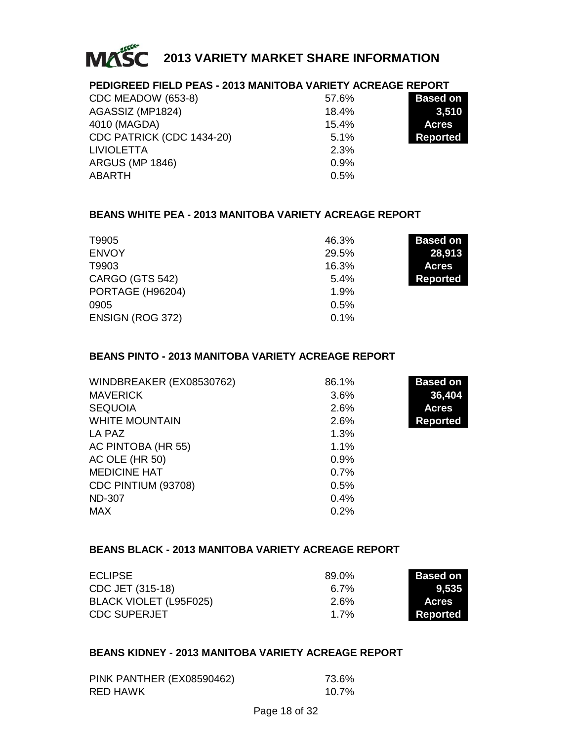

### **PEDIGREED FIELD PEAS - 2013 MANITOBA VARIETY ACREAGE REPORT**

| CDC MEADOW (653-8)        | 57.6% | <b>Based on</b> |
|---------------------------|-------|-----------------|
| AGASSIZ (MP1824)          | 18.4% | 3,510           |
| 4010 (MAGDA)              | 15.4% | <b>Acres</b>    |
| CDC PATRICK (CDC 1434-20) | 5.1%  | <b>Reported</b> |
| <b>LIVIOLETTA</b>         | 2.3%  |                 |
| <b>ARGUS (MP 1846)</b>    | 0.9%  |                 |
| ABARTH                    | 0.5%  |                 |
|                           |       |                 |

### **BEANS WHITE PEA - 2013 MANITOBA VARIETY ACREAGE REPORT**

| T9905            | 46.3% | <b>Based on</b> |
|------------------|-------|-----------------|
| <b>ENVOY</b>     | 29.5% | 28,913          |
| T9903            | 16.3% | <b>Acres</b>    |
| CARGO (GTS 542)  | 5.4%  | <b>Reported</b> |
| PORTAGE (H96204) | 1.9%  |                 |
| 0905             | 0.5%  |                 |
| ENSIGN (ROG 372) | 0.1%  |                 |

### **BEANS PINTO - 2013 MANITOBA VARIETY ACREAGE REPORT**

| WINDBREAKER (EX08530762) | 86.1% | <b>Based on</b> |
|--------------------------|-------|-----------------|
| <b>MAVERICK</b>          | 3.6%  | 36,404          |
| <b>SEQUOIA</b>           | 2.6%  | <b>Acres</b>    |
| <b>WHITE MOUNTAIN</b>    | 2.6%  | <b>Reported</b> |
| LA PAZ                   | 1.3%  |                 |
| AC PINTOBA (HR 55)       | 1.1%  |                 |
| AC OLE (HR 50)           | 0.9%  |                 |
| <b>MEDICINE HAT</b>      | 0.7%  |                 |
| CDC PINTIUM (93708)      | 0.5%  |                 |
| <b>ND-307</b>            | 0.4%  |                 |
| <b>MAX</b>               | 0.2%  |                 |

### **BEANS BLACK - 2013 MANITOBA VARIETY ACREAGE REPORT**

| <b>ECLIPSE</b>         | 89.0% | <b>Based on</b> |
|------------------------|-------|-----------------|
| CDC JET (315-18)       | 6.7%  | 9.535           |
| BLACK VIOLET (L95F025) | 2.6%  | <b>Acres</b>    |
| <b>CDC SUPERJET</b>    | 1 7%  | Reported        |

### **BEANS KIDNEY - 2013 MANITOBA VARIETY ACREAGE REPORT**

| PINK PANTHER (EX08590462) | 73.6% |
|---------------------------|-------|
| RED HAWK                  | 10.7% |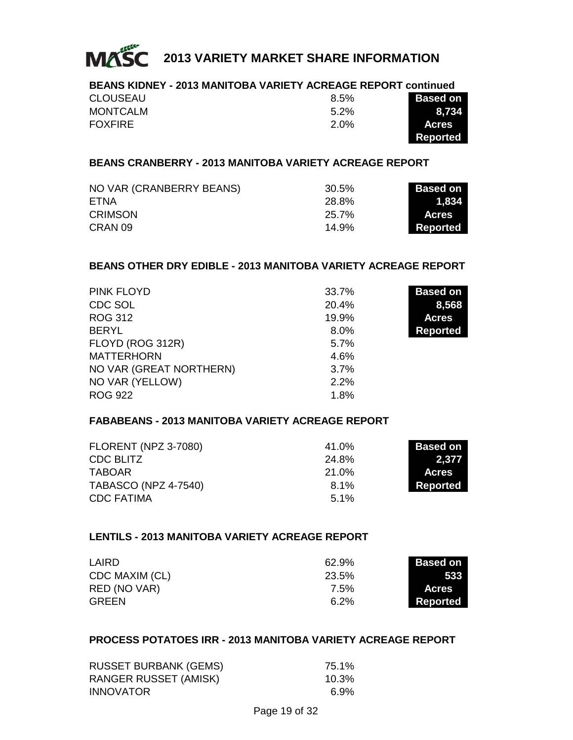

| <b>BEANS KIDNEY - 2013 MANITOBA VARIETY ACREAGE REPORT continued</b> |         |                 |
|----------------------------------------------------------------------|---------|-----------------|
| <b>CLOUSEAU</b>                                                      | 8.5%    | <b>Based on</b> |
| <b>MONTCALM</b>                                                      | $5.2\%$ | 8.734           |
| FOXFIRE                                                              | 2.0%    | <b>Acres</b>    |
|                                                                      |         | <b>Reported</b> |

### **BEANS CRANBERRY - 2013 MANITOBA VARIETY ACREAGE REPORT**

| NO VAR (CRANBERRY BEANS) | 30.5% | <b>Based on</b> |
|--------------------------|-------|-----------------|
| ETNA                     | 28.8% | 1.834           |
| <b>CRIMSON</b>           | 25.7% | <b>Acres</b>    |
| CRAN 09                  | 14.9% | Reported        |

### **BEANS OTHER DRY EDIBLE - 2013 MANITOBA VARIETY ACREAGE REPORT**

| PINK FLOYD              | 33.7% | <b>Based on</b> |
|-------------------------|-------|-----------------|
| CDC SOL                 | 20.4% | 8,568           |
| ROG 312                 | 19.9% | <b>Acres</b>    |
| <b>BERYL</b>            | 8.0%  | <b>Reported</b> |
| FLOYD (ROG 312R)        | 5.7%  |                 |
| <b>MATTERHORN</b>       | 4.6%  |                 |
| NO VAR (GREAT NORTHERN) | 3.7%  |                 |
| NO VAR (YELLOW)         | 2.2%  |                 |
| <b>ROG 922</b>          | 1.8%  |                 |

### **FABABEANS - 2013 MANITOBA VARIETY ACREAGE REPORT**

| <b>FLORENT (NPZ 3-7080)</b> | 41.0% | <b>Based on</b> |
|-----------------------------|-------|-----------------|
| CDC BLITZ                   | 24.8% | 2,377           |
| <b>TABOAR</b>               | 21.0% | <b>Acres</b>    |
| <b>TABASCO (NPZ 4-7540)</b> | 8.1%  | Reported        |
| <b>CDC FATIMA</b>           | 5.1%  |                 |

### **LENTILS - 2013 MANITOBA VARIETY ACREAGE REPORT**

| LAIRD          | 62.9% | <b>Based on</b> |
|----------------|-------|-----------------|
| CDC MAXIM (CL) | 23.5% | 533             |
| RED (NO VAR)   | 7.5%  | <b>Acres</b>    |
| <b>GREEN</b>   | 6.2%  | Reported        |

#### **PROCESS POTATOES IRR - 2013 MANITOBA VARIETY ACREAGE REPORT**

| <b>RUSSET BURBANK (GEMS)</b> | 75.1% |
|------------------------------|-------|
| RANGER RUSSET (AMISK)        | 10.3% |
| <b>INNOVATOR</b>             | 6.9%  |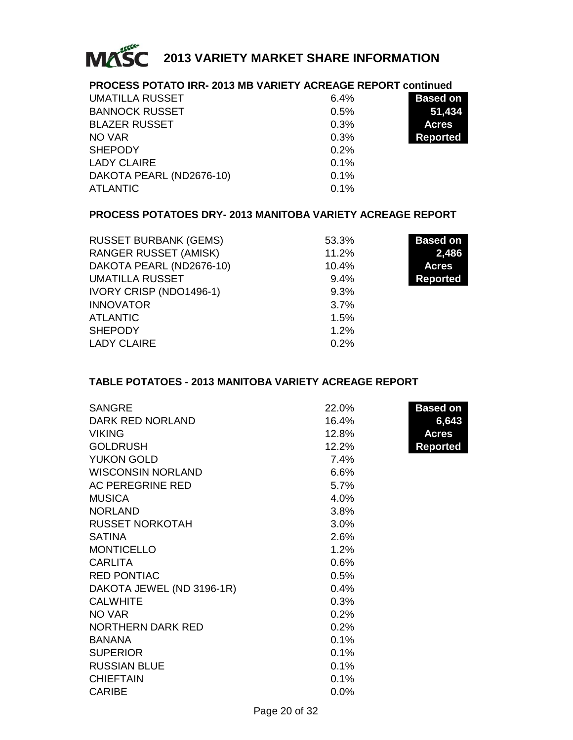

### **PROCESS POTATO IRR- 2013 MB VARIETY ACREAGE REPORT continued**

| UMATILLA RUSSET          | 6.4% | <b>Based on</b> |
|--------------------------|------|-----------------|
| <b>BANNOCK RUSSET</b>    | 0.5% | 51,434          |
| <b>BLAZER RUSSET</b>     | 0.3% | <b>Acres</b>    |
| NO VAR                   | 0.3% | <b>Reported</b> |
| <b>SHEPODY</b>           | 0.2% |                 |
| LADY CLAIRE              | 0.1% |                 |
| DAKOTA PEARL (ND2676-10) | 0.1% |                 |
| <b>ATLANTIC</b>          | 0.1% |                 |

### **PROCESS POTATOES DRY- 2013 MANITOBA VARIETY ACREAGE REPORT**

| <b>RUSSET BURBANK (GEMS)</b> | 53.3% | <b>Based on</b> |
|------------------------------|-------|-----------------|
| <b>RANGER RUSSET (AMISK)</b> | 11.2% | 2,486           |
| DAKOTA PEARL (ND2676-10)     | 10.4% | <b>Acres</b>    |
| <b>UMATILLA RUSSET</b>       | 9.4%  | <b>Reported</b> |
| IVORY CRISP (NDO1496-1)      | 9.3%  |                 |
| <b>INNOVATOR</b>             | 3.7%  |                 |
| <b>ATLANTIC</b>              | 1.5%  |                 |
| <b>SHEPODY</b>               | 1.2%  |                 |
| <b>LADY CLAIRE</b>           | 0.2%  |                 |

### **TABLE POTATOES - 2013 MANITOBA VARIETY ACREAGE REPORT**

| <b>SANGRE</b>             | 22.0%   | <b>Based on</b> |
|---------------------------|---------|-----------------|
| DARK RED NORLAND          | 16.4%   | 6,643           |
| <b>VIKING</b>             | 12.8%   | <b>Acres</b>    |
| <b>GOLDRUSH</b>           | 12.2%   | <b>Reported</b> |
| <b>YUKON GOLD</b>         | 7.4%    |                 |
| <b>WISCONSIN NORLAND</b>  | 6.6%    |                 |
| AC PEREGRINE RED          | 5.7%    |                 |
| <b>MUSICA</b>             | 4.0%    |                 |
| <b>NORLAND</b>            | 3.8%    |                 |
| <b>RUSSET NORKOTAH</b>    | 3.0%    |                 |
| <b>SATINA</b>             | 2.6%    |                 |
| <b>MONTICELLO</b>         | 1.2%    |                 |
| <b>CARLITA</b>            | 0.6%    |                 |
| <b>RED PONTIAC</b>        | 0.5%    |                 |
| DAKOTA JEWEL (ND 3196-1R) | 0.4%    |                 |
| <b>CALWHITE</b>           | 0.3%    |                 |
| NO VAR                    | 0.2%    |                 |
| <b>NORTHERN DARK RED</b>  | 0.2%    |                 |
| BANANA                    | 0.1%    |                 |
| <b>SUPERIOR</b>           | 0.1%    |                 |
| <b>RUSSIAN BLUE</b>       | 0.1%    |                 |
| <b>CHIEFTAIN</b>          | 0.1%    |                 |
| <b>CARIBE</b>             | $0.0\%$ |                 |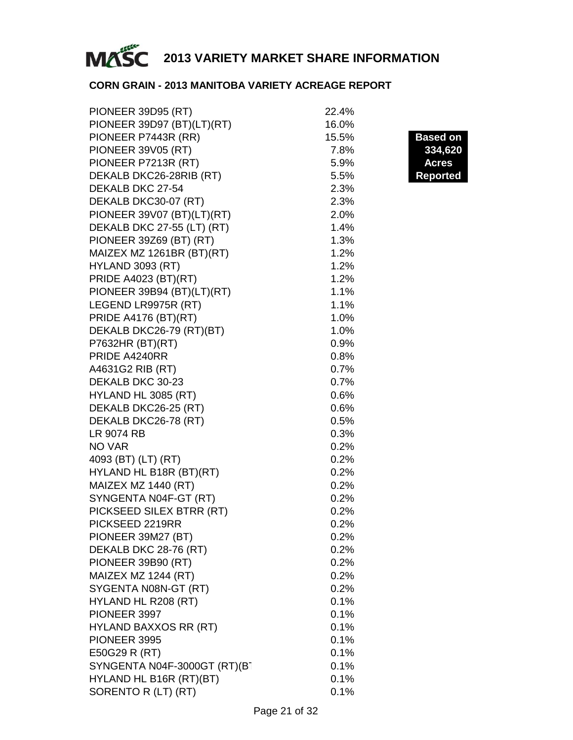

### **CORN GRAIN - 2013 MANITOBA VARIETY ACREAGE REPORT**

| PIONEER 39D95 (RT)           | 22.4% |                 |
|------------------------------|-------|-----------------|
| PIONEER 39D97 (BT)(LT)(RT)   | 16.0% |                 |
| PIONEER P7443R (RR)          | 15.5% | <b>Based on</b> |
| <b>PIONEER 39V05 (RT)</b>    | 7.8%  | 334,620         |
| PIONEER P7213R (RT)          | 5.9%  | <b>Acres</b>    |
| DEKALB DKC26-28RIB (RT)      | 5.5%  | <b>Reported</b> |
| DEKALB DKC 27-54             | 2.3%  |                 |
| DEKALB DKC30-07 (RT)         | 2.3%  |                 |
| PIONEER 39V07 (BT)(LT)(RT)   | 2.0%  |                 |
| DEKALB DKC 27-55 (LT) (RT)   | 1.4%  |                 |
| PIONEER 39Z69 (BT) (RT)      | 1.3%  |                 |
| MAIZEX MZ 1261BR (BT)(RT)    | 1.2%  |                 |
| <b>HYLAND 3093 (RT)</b>      | 1.2%  |                 |
| PRIDE A4023 (BT)(RT)         | 1.2%  |                 |
| PIONEER 39B94 (BT)(LT)(RT)   | 1.1%  |                 |
| LEGEND LR9975R (RT)          | 1.1%  |                 |
| <b>PRIDE A4176 (BT)(RT)</b>  | 1.0%  |                 |
| DEKALB DKC26-79 (RT)(BT)     | 1.0%  |                 |
| P7632HR (BT)(RT)             | 0.9%  |                 |
| PRIDE A4240RR                | 0.8%  |                 |
| A4631G2 RIB (RT)             | 0.7%  |                 |
| DEKALB DKC 30-23             | 0.7%  |                 |
| HYLAND HL 3085 (RT)          | 0.6%  |                 |
| DEKALB DKC26-25 (RT)         | 0.6%  |                 |
| DEKALB DKC26-78 (RT)         | 0.5%  |                 |
| LR 9074 RB                   | 0.3%  |                 |
| NO VAR                       | 0.2%  |                 |
| 4093 (BT) (LT) (RT)          | 0.2%  |                 |
| HYLAND HL B18R (BT)(RT)      | 0.2%  |                 |
| MAIZEX MZ 1440 (RT)          | 0.2%  |                 |
| SYNGENTA N04F-GT (RT)        | 0.2%  |                 |
| PICKSEED SILEX BTRR (RT)     | 0.2%  |                 |
| PICKSEED 2219RR              | 0.2%  |                 |
| PIONEER 39M27 (BT)           | 0.2%  |                 |
| DEKALB DKC 28-76 (RT)        | 0.2%  |                 |
| PIONEER 39B90 (RT)           | 0.2%  |                 |
| MAIZEX MZ 1244 (RT)          | 0.2%  |                 |
| SYGENTA N08N-GT (RT)         | 0.2%  |                 |
| HYLAND HL R208 (RT)          | 0.1%  |                 |
| PIONEER 3997                 | 0.1%  |                 |
| <b>HYLAND BAXXOS RR (RT)</b> | 0.1%  |                 |
| PIONEER 3995                 | 0.1%  |                 |
| E50G29 R (RT)                | 0.1%  |                 |
| SYNGENTA N04F-3000GT (RT)(BT | 0.1%  |                 |
| HYLAND HL B16R (RT)(BT)      | 0.1%  |                 |
| SORENTO R (LT) (RT)          | 0.1%  |                 |
|                              |       |                 |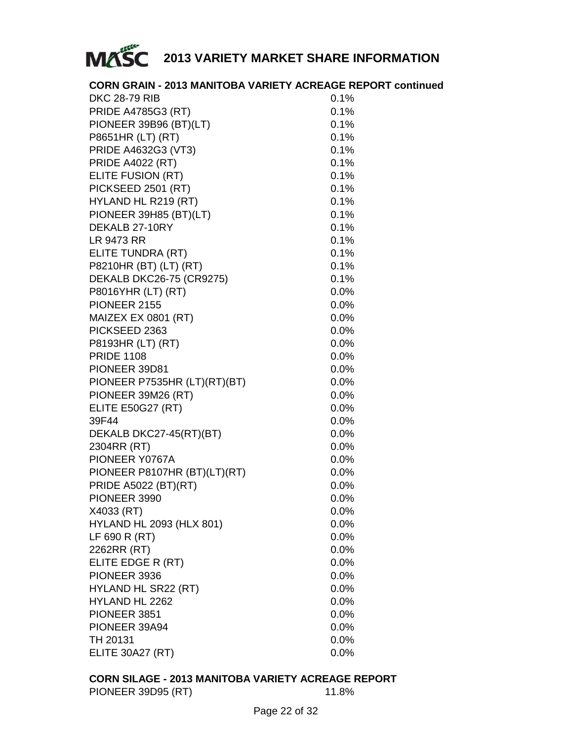

| <b>CORN GRAIN - 2013 MANITOBA VARIETY ACREAGE REPORT continued</b> |         |
|--------------------------------------------------------------------|---------|
| <b>DKC 28-79 RIB</b>                                               | 0.1%    |
| <b>PRIDE A4785G3 (RT)</b>                                          | 0.1%    |
| PIONEER 39B96 (BT)(LT)                                             | 0.1%    |
| P8651HR (LT) (RT)                                                  | 0.1%    |
| PRIDE A4632G3 (VT3)                                                | 0.1%    |
| <b>PRIDE A4022 (RT)</b>                                            | 0.1%    |
| ELITE FUSION (RT)                                                  | 0.1%    |
| PICKSEED 2501 (RT)                                                 | 0.1%    |
| HYLAND HL R219 (RT)                                                | 0.1%    |
| PIONEER 39H85 (BT)(LT)                                             | 0.1%    |
| DEKALB 27-10RY                                                     | 0.1%    |
| LR 9473 RR                                                         | 0.1%    |
| ELITE TUNDRA (RT)                                                  | 0.1%    |
| P8210HR (BT) (LT) (RT)                                             | 0.1%    |
| DEKALB DKC26-75 (CR9275)                                           | 0.1%    |
| P8016YHR (LT) (RT)                                                 | $0.0\%$ |
| PIONEER 2155                                                       | 0.0%    |
| MAIZEX EX 0801 (RT)                                                | 0.0%    |
| PICKSEED 2363                                                      | 0.0%    |
| P8193HR (LT) (RT)                                                  | 0.0%    |
| <b>PRIDE 1108</b>                                                  | 0.0%    |
| PIONEER 39D81                                                      | 0.0%    |
| PIONEER P7535HR (LT)(RT)(BT)                                       | 0.0%    |
| PIONEER 39M26 (RT)                                                 | 0.0%    |
| ELITE E50G27 (RT)                                                  | 0.0%    |
| 39F44                                                              | 0.0%    |
| DEKALB DKC27-45(RT)(BT)                                            | 0.0%    |
| 2304RR (RT)                                                        | 0.0%    |
| PIONEER Y0767A                                                     | 0.0%    |
| PIONEER P8107HR (BT)(LT)(RT)                                       | 0.0%    |
| PRIDE A5022 (BT)(RT)                                               | 0.0%    |
| PIONEER 3990                                                       | 0.0%    |
| X4033 (RT)                                                         | 0.0%    |
| HYLAND HL 2093 (HLX 801)                                           | 0.0%    |
| LF 690 R (RT)                                                      | 0.0%    |
| 2262RR (RT)                                                        | 0.0%    |
| ELITE EDGE R (RT)                                                  | 0.0%    |
| PIONEER 3936                                                       | 0.0%    |
| HYLAND HL SR22 (RT)                                                | 0.0%    |
| HYLAND HL 2262                                                     | $0.0\%$ |
| PIONEER 3851                                                       | $0.0\%$ |
| PIONEER 39A94                                                      | 0.0%    |
| TH 20131                                                           | $0.0\%$ |
| <b>ELITE 30A27 (RT)</b>                                            | 0.0%    |

### **CORN SILAGE - 2013 MANITOBA VARIETY ACREAGE REPORT** PIONEER 39D95 (RT) 11.8%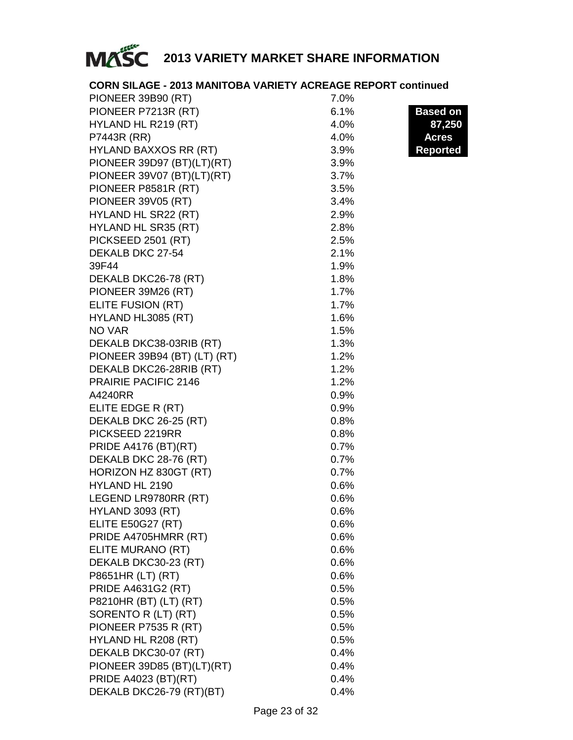

| <b>CORN SILAGE - 2013 MANITOBA VARIETY ACREAGE REPORT continued</b> |      |                 |
|---------------------------------------------------------------------|------|-----------------|
| PIONEER 39B90 (RT)                                                  | 7.0% |                 |
| PIONEER P7213R (RT)                                                 | 6.1% | <b>Based on</b> |
| HYLAND HL R219 (RT)                                                 | 4.0% | 87,250          |
| P7443R (RR)                                                         | 4.0% | <b>Acres</b>    |
| HYLAND BAXXOS RR (RT)                                               | 3.9% | <b>Reported</b> |
| PIONEER 39D97 (BT)(LT)(RT)                                          | 3.9% |                 |
| PIONEER 39V07 (BT)(LT)(RT)                                          | 3.7% |                 |
| PIONEER P8581R (RT)                                                 | 3.5% |                 |
| <b>PIONEER 39V05 (RT)</b>                                           | 3.4% |                 |
| HYLAND HL SR22 (RT)                                                 | 2.9% |                 |
| HYLAND HL SR35 (RT)                                                 | 2.8% |                 |
| PICKSEED 2501 (RT)                                                  | 2.5% |                 |
| DEKALB DKC 27-54                                                    | 2.1% |                 |
| 39F44                                                               | 1.9% |                 |
| DEKALB DKC26-78 (RT)                                                | 1.8% |                 |
| PIONEER 39M26 (RT)                                                  | 1.7% |                 |
| ELITE FUSION (RT)                                                   | 1.7% |                 |
| HYLAND HL3085 (RT)                                                  | 1.6% |                 |
| NO VAR                                                              | 1.5% |                 |
| DEKALB DKC38-03RIB (RT)                                             | 1.3% |                 |
| PIONEER 39B94 (BT) (LT) (RT)                                        | 1.2% |                 |
| DEKALB DKC26-28RIB (RT)                                             | 1.2% |                 |
| PRAIRIE PACIFIC 2146                                                | 1.2% |                 |
| A4240RR                                                             | 0.9% |                 |
| ELITE EDGE R (RT)                                                   | 0.9% |                 |
| DEKALB DKC 26-25 (RT)                                               | 0.8% |                 |
| PICKSEED 2219RR                                                     | 0.8% |                 |
| <b>PRIDE A4176 (BT)(RT)</b>                                         | 0.7% |                 |
| DEKALB DKC 28-76 (RT)                                               | 0.7% |                 |
| HORIZON HZ 830GT (RT)                                               | 0.7% |                 |
| HYLAND HL 2190                                                      | 0.6% |                 |
| LEGEND LR9780RR (RT)                                                | 0.6% |                 |
| <b>HYLAND 3093 (RT)</b>                                             | 0.6% |                 |
| <b>ELITE E50G27 (RT)</b>                                            | 0.6% |                 |
| PRIDE A4705HMRR (RT)                                                | 0.6% |                 |
| ELITE MURANO (RT)                                                   | 0.6% |                 |
| DEKALB DKC30-23 (RT)                                                | 0.6% |                 |
| P8651HR (LT) (RT)                                                   | 0.6% |                 |
| PRIDE A4631G2 (RT)                                                  | 0.5% |                 |
| P8210HR (BT) (LT) (RT)                                              | 0.5% |                 |
| SORENTO R (LT) (RT)                                                 | 0.5% |                 |
| PIONEER P7535 R (RT)                                                | 0.5% |                 |
| HYLAND HL R208 (RT)                                                 | 0.5% |                 |
| DEKALB DKC30-07 (RT)                                                | 0.4% |                 |
| PIONEER 39D85 (BT)(LT)(RT)                                          | 0.4% |                 |
| PRIDE A4023 (BT)(RT)                                                | 0.4% |                 |
| DEKALB DKC26-79 (RT)(BT)                                            | 0.4% |                 |
|                                                                     |      |                 |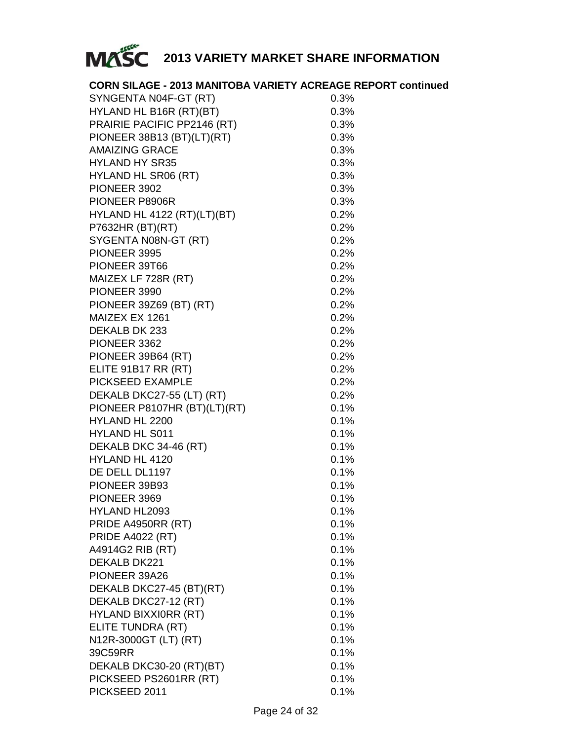

| <b>CORN SILAGE - 2013 MANITOBA VARIETY ACREAGE REPORT continued</b> |         |
|---------------------------------------------------------------------|---------|
| SYNGENTA N04F-GT (RT)                                               | 0.3%    |
| HYLAND HL B16R (RT)(BT)                                             | 0.3%    |
| PRAIRIE PACIFIC PP2146 (RT)                                         | 0.3%    |
| PIONEER 38B13 (BT)(LT)(RT)                                          | 0.3%    |
| <b>AMAIZING GRACE</b>                                               | 0.3%    |
| <b>HYLAND HY SR35</b>                                               | 0.3%    |
| HYLAND HL SR06 (RT)                                                 | 0.3%    |
| PIONEER 3902                                                        | 0.3%    |
| PIONEER P8906R                                                      | 0.3%    |
| HYLAND HL 4122 (RT)(LT)(BT)                                         | 0.2%    |
| P7632HR (BT)(RT)                                                    | 0.2%    |
| SYGENTA N08N-GT (RT)                                                | 0.2%    |
| PIONEER 3995                                                        | 0.2%    |
| PIONEER 39T66                                                       | 0.2%    |
| MAIZEX LF 728R (RT)                                                 | 0.2%    |
| PIONEER 3990                                                        | 0.2%    |
| PIONEER 39Z69 (BT) (RT)                                             | 0.2%    |
| MAIZEX EX 1261                                                      | 0.2%    |
| DEKALB DK 233                                                       | 0.2%    |
| PIONEER 3362                                                        | 0.2%    |
| PIONEER 39B64 (RT)                                                  | 0.2%    |
| ELITE 91B17 RR (RT)                                                 | 0.2%    |
| PICKSEED EXAMPLE                                                    |         |
|                                                                     | 0.2%    |
| DEKALB DKC27-55 (LT) (RT)                                           | 0.2%    |
| PIONEER P8107HR (BT)(LT)(RT)                                        | 0.1%    |
| HYLAND HL 2200                                                      | 0.1%    |
| <b>HYLAND HL S011</b>                                               | 0.1%    |
| DEKALB DKC 34-46 (RT)                                               | 0.1%    |
| HYLAND HL 4120                                                      | 0.1%    |
| DE DELL DL1197                                                      | 0.1%    |
| PIONEER 39B93                                                       | 0.1%    |
| PIONEER 3969                                                        | 0.1%    |
| HYLAND HL2093                                                       | 0.1%    |
| PRIDE A4950RR (RT)                                                  | 0.1%    |
| <b>PRIDE A4022 (RT)</b>                                             | $0.1\%$ |
| A4914G2 RIB (RT)                                                    | 0.1%    |
| DEKALB DK221                                                        | 0.1%    |
| PIONEER 39A26                                                       | 0.1%    |
| DEKALB DKC27-45 (BT)(RT)                                            | 0.1%    |
| DEKALB DKC27-12 (RT)                                                | 0.1%    |
| HYLAND BIXXIORR (RT)                                                | 0.1%    |
| ELITE TUNDRA (RT)                                                   | 0.1%    |
| N12R-3000GT (LT) (RT)                                               | 0.1%    |
| 39C59RR                                                             | 0.1%    |
| DEKALB DKC30-20 (RT)(BT)                                            | 0.1%    |
| PICKSEED PS2601RR (RT)                                              | 0.1%    |
| PICKSEED 2011                                                       | 0.1%    |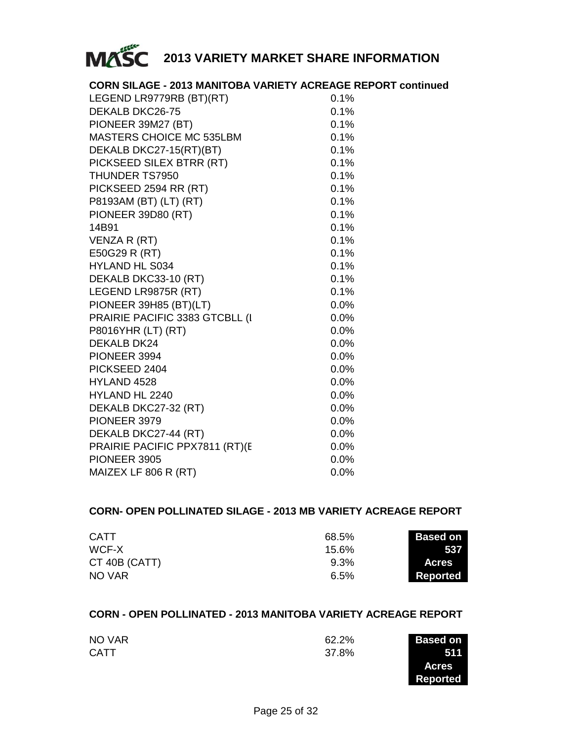

| <b>CORN SILAGE - 2013 MANITOBA VARIETY ACREAGE REPORT continued</b> |         |  |
|---------------------------------------------------------------------|---------|--|
| LEGEND LR9779RB (BT)(RT)                                            | 0.1%    |  |
| DEKALB DKC26-75                                                     | 0.1%    |  |
| PIONEER 39M27 (BT)                                                  | 0.1%    |  |
| MASTERS CHOICE MC 535LBM                                            | 0.1%    |  |
| DEKALB DKC27-15(RT)(BT)                                             | 0.1%    |  |
| PICKSEED SILEX BTRR (RT)                                            | 0.1%    |  |
| THUNDER TS7950                                                      | 0.1%    |  |
| PICKSEED 2594 RR (RT)                                               | 0.1%    |  |
| P8193AM (BT) (LT) (RT)                                              | 0.1%    |  |
| PIONEER 39D80 (RT)                                                  | 0.1%    |  |
| 14B91                                                               | 0.1%    |  |
| VENZA R (RT)                                                        | 0.1%    |  |
| E50G29 R (RT)                                                       | 0.1%    |  |
| <b>HYLAND HL S034</b>                                               | 0.1%    |  |
| DEKALB DKC33-10 (RT)                                                | 0.1%    |  |
| LEGEND LR9875R (RT)                                                 | 0.1%    |  |
| PIONEER 39H85 (BT)(LT)                                              | 0.0%    |  |
| PRAIRIE PACIFIC 3383 GTCBLL (I                                      | 0.0%    |  |
| P8016YHR (LT) (RT)                                                  | 0.0%    |  |
| DEKALB DK24                                                         | $0.0\%$ |  |
| PIONEER 3994                                                        | $0.0\%$ |  |
| PICKSEED 2404                                                       | 0.0%    |  |
| HYLAND 4528                                                         | 0.0%    |  |
| HYLAND HL 2240                                                      | 0.0%    |  |
| DEKALB DKC27-32 (RT)                                                | 0.0%    |  |
| PIONEER 3979                                                        | 0.0%    |  |
| DEKALB DKC27-44 (RT)                                                | 0.0%    |  |
| PRAIRIE PACIFIC PPX7811 (RT)(E                                      | 0.0%    |  |
| PIONEER 3905                                                        | 0.0%    |  |
| MAIZEX LF 806 R (RT)                                                | 0.0%    |  |

### **CORN- OPEN POLLINATED SILAGE - 2013 MB VARIETY ACREAGE REPORT**

| <b>CATT</b>   | 68.5% | <b>Based on</b> |
|---------------|-------|-----------------|
| WCF-X         | 15.6% | 537             |
| CT 40B (CATT) | 9.3%  | <b>Acres</b>    |
| NO VAR        | 6.5%  | Reported        |

### **CORN - OPEN POLLINATED - 2013 MANITOBA VARIETY ACREAGE REPORT**

| NO VAR      | 62.2% | <b>Based on</b> |
|-------------|-------|-----------------|
| <b>CATT</b> | 37.8% | 511             |
|             |       | <b>Acres</b>    |

**Reported**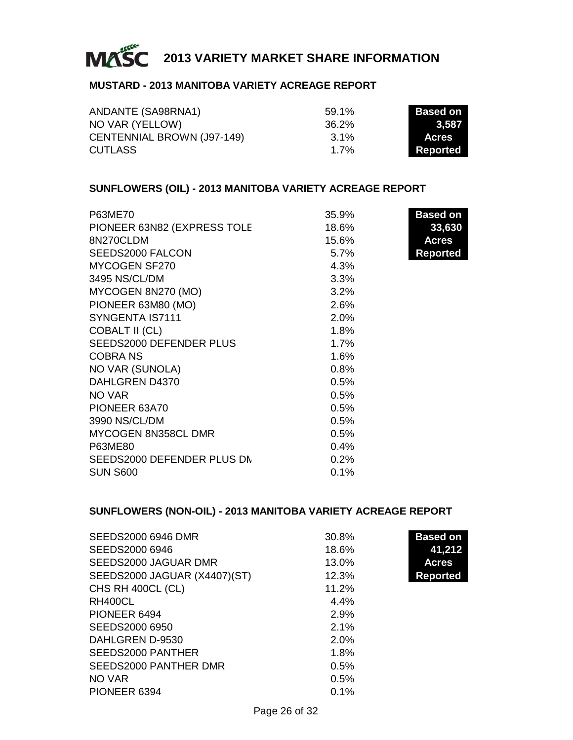

### **MUSTARD - 2013 MANITOBA VARIETY ACREAGE REPORT**

| ANDANTE (SA98RNA1)         | 59.1% | Based on     |
|----------------------------|-------|--------------|
| NO VAR (YELLOW)            | 36.2% | 3.587        |
| CENTENNIAL BROWN (J97-149) | 3.1%  | <b>Acres</b> |
| <b>CUTLASS</b>             | 1 7%  | Reported     |

### **SUNFLOWERS (OIL) - 2013 MANITOBA VARIETY ACREAGE REPORT**

| P63ME70                     | 35.9% | <b>Based on</b> |
|-----------------------------|-------|-----------------|
| PIONEER 63N82 (EXPRESS TOLE | 18.6% | 33,630          |
| 8N270CLDM                   | 15.6% | <b>Acres</b>    |
| SEEDS2000 FALCON            | 5.7%  | <b>Reported</b> |
| MYCOGEN SF270               | 4.3%  |                 |
| 3495 NS/CL/DM               | 3.3%  |                 |
| MYCOGEN 8N270 (MO)          | 3.2%  |                 |
| PIONEER 63M80 (MO)          | 2.6%  |                 |
| SYNGENTA IS7111             | 2.0%  |                 |
| <b>COBALT II (CL)</b>       | 1.8%  |                 |
| SEEDS2000 DEFENDER PLUS     | 1.7%  |                 |
| COBRA NS                    | 1.6%  |                 |
| NO VAR (SUNOLA)             | 0.8%  |                 |
| DAHLGREN D4370              | 0.5%  |                 |
| NO VAR                      | 0.5%  |                 |
| PIONEER 63A70               | 0.5%  |                 |
| 3990 NS/CL/DM               | 0.5%  |                 |
| MYCOGEN 8N358CL DMR         | 0.5%  |                 |
| P63ME80                     | 0.4%  |                 |
| SEEDS2000 DEFENDER PLUS DN  | 0.2%  |                 |
| <b>SUN S600</b>             | 0.1%  |                 |

### **SUNFLOWERS (NON-OIL) - 2013 MANITOBA VARIETY ACREAGE REPORT**

| SEEDS2000 6946 DMR           | 30.8% | <b>Based on</b> |
|------------------------------|-------|-----------------|
| SEEDS2000 6946               | 18.6% | 41,212          |
| SEEDS2000 JAGUAR DMR         | 13.0% | <b>Acres</b>    |
| SEEDS2000 JAGUAR (X4407)(ST) | 12.3% | <b>Reported</b> |
| CHS RH 400CL (CL)            | 11.2% |                 |
| RH400CL                      | 4.4%  |                 |
| PIONEER 6494                 | 2.9%  |                 |
| SEEDS2000 6950               | 2.1%  |                 |
| DAHLGREN D-9530              | 2.0%  |                 |
| SEEDS2000 PANTHER            | 1.8%  |                 |
| SEEDS2000 PANTHER DMR        | 0.5%  |                 |
| NO VAR                       | 0.5%  |                 |
| PIONEER 6394                 | 0.1%  |                 |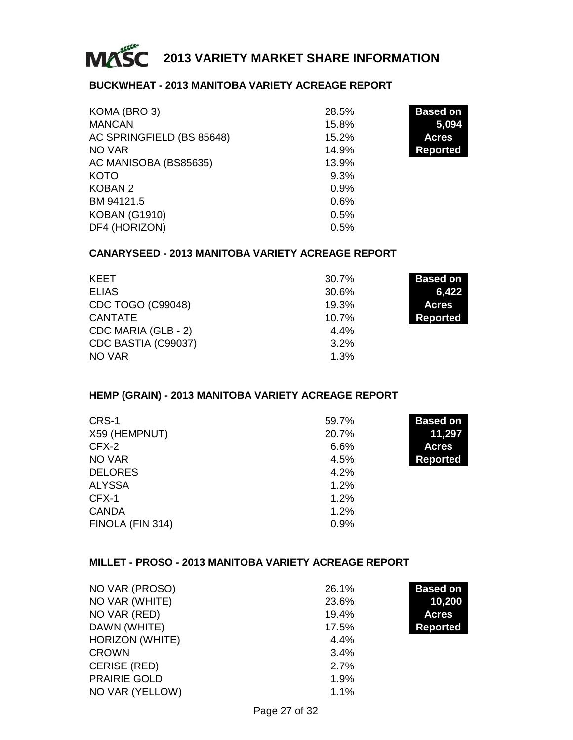

### **BUCKWHEAT - 2013 MANITOBA VARIETY ACREAGE REPORT**

| KOMA (BRO 3)              | 28.5% | <b>Based on</b> |
|---------------------------|-------|-----------------|
| <b>MANCAN</b>             | 15.8% | 5,094           |
| AC SPRINGFIELD (BS 85648) | 15.2% | <b>Acres</b>    |
| NO VAR                    | 14.9% | <b>Reported</b> |
| AC MANISOBA (BS85635)     | 13.9% |                 |
| KOTO                      | 9.3%  |                 |
| KOBAN 2                   | 0.9%  |                 |
| BM 94121.5                | 0.6%  |                 |
| <b>KOBAN (G1910)</b>      | 0.5%  |                 |
| DF4 (HORIZON)             | 0.5%  |                 |

### **CANARYSEED - 2013 MANITOBA VARIETY ACREAGE REPORT**

| <b>KEET</b>         | 30.7%    | <b>Based on</b> |
|---------------------|----------|-----------------|
| <b>ELIAS</b>        | 30.6%    | 6,422           |
| CDC TOGO (C99048)   | 19.3%    | <b>Acres</b>    |
| <b>CANTATE</b>      | $10.7\%$ | Reported        |
| CDC MARIA (GLB - 2) | 4.4%     |                 |
| CDC BASTIA (C99037) | 3.2%     |                 |
| NO VAR              | 1.3%     |                 |

### **HEMP (GRAIN) - 2013 MANITOBA VARIETY ACREAGE REPORT**

| CRS-1            | 59.7% | <b>Based on</b> |
|------------------|-------|-----------------|
| X59 (HEMPNUT)    | 20.7% | 11,297          |
| CFX-2            | 6.6%  | <b>Acres</b>    |
| NO VAR           | 4.5%  | <b>Reported</b> |
| <b>DELORES</b>   | 4.2%  |                 |
| <b>ALYSSA</b>    | 1.2%  |                 |
| CFX-1            | 1.2%  |                 |
| <b>CANDA</b>     | 1.2%  |                 |
| FINOLA (FIN 314) | 0.9%  |                 |

### **MILLET - PROSO - 2013 MANITOBA VARIETY ACREAGE REPORT**

| NO VAR (PROSO)      | 26.1% | <b>Based on</b> |
|---------------------|-------|-----------------|
| NO VAR (WHITE)      | 23.6% | 10,200          |
| NO VAR (RED)        | 19.4% | <b>Acres</b>    |
| DAWN (WHITE)        | 17.5% | <b>Reported</b> |
| HORIZON (WHITE)     | 4.4%  |                 |
| <b>CROWN</b>        | 3.4%  |                 |
| <b>CERISE (RED)</b> | 2.7%  |                 |
| <b>PRAIRIE GOLD</b> | 1.9%  |                 |
| NO VAR (YELLOW)     | 1.1%  |                 |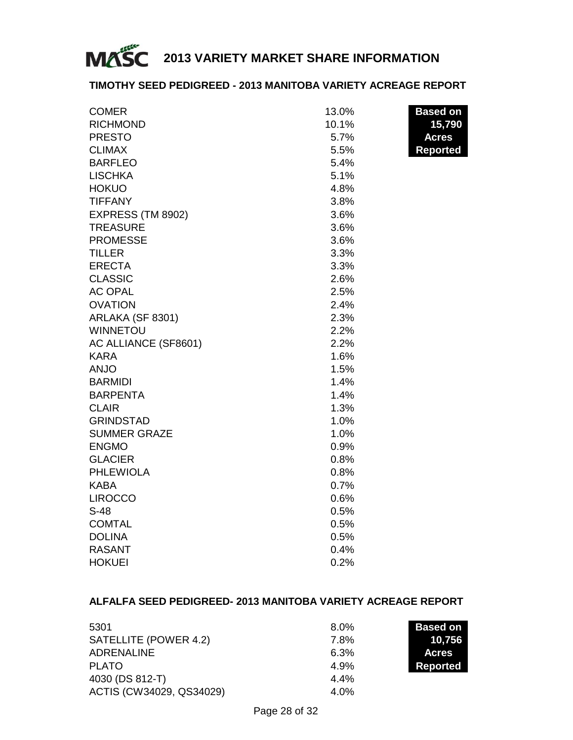

### **TIMOTHY SEED PEDIGREED - 2013 MANITOBA VARIETY ACREAGE REPORT**

| <b>COMER</b>         | 13.0% | <b>Based on</b> |
|----------------------|-------|-----------------|
| <b>RICHMOND</b>      | 10.1% | 15,790          |
| <b>PRESTO</b>        | 5.7%  | <b>Acres</b>    |
| <b>CLIMAX</b>        | 5.5%  | <b>Reported</b> |
| <b>BARFLEO</b>       | 5.4%  |                 |
| <b>LISCHKA</b>       | 5.1%  |                 |
| <b>HOKUO</b>         | 4.8%  |                 |
| <b>TIFFANY</b>       | 3.8%  |                 |
| EXPRESS (TM 8902)    | 3.6%  |                 |
| <b>TREASURE</b>      | 3.6%  |                 |
| <b>PROMESSE</b>      | 3.6%  |                 |
| <b>TILLER</b>        | 3.3%  |                 |
| <b>ERECTA</b>        | 3.3%  |                 |
| <b>CLASSIC</b>       | 2.6%  |                 |
| <b>AC OPAL</b>       | 2.5%  |                 |
| <b>OVATION</b>       | 2.4%  |                 |
| ARLAKA (SF 8301)     | 2.3%  |                 |
| <b>WINNETOU</b>      | 2.2%  |                 |
| AC ALLIANCE (SF8601) | 2.2%  |                 |
| <b>KARA</b>          | 1.6%  |                 |
| <b>ANJO</b>          | 1.5%  |                 |
| <b>BARMIDI</b>       | 1.4%  |                 |
| <b>BARPENTA</b>      | 1.4%  |                 |
| <b>CLAIR</b>         | 1.3%  |                 |
| <b>GRINDSTAD</b>     | 1.0%  |                 |
| <b>SUMMER GRAZE</b>  | 1.0%  |                 |
| <b>ENGMO</b>         | 0.9%  |                 |
| <b>GLACIER</b>       | 0.8%  |                 |
| <b>PHLEWIOLA</b>     | 0.8%  |                 |
| KABA                 | 0.7%  |                 |
| <b>LIROCCO</b>       | 0.6%  |                 |
| $S-48$               | 0.5%  |                 |
| <b>COMTAL</b>        | 0.5%  |                 |
| <b>DOLINA</b>        | 0.5%  |                 |
| <b>RASANT</b>        | 0.4%  |                 |
| <b>HOKUEI</b>        | 0.2%  |                 |

### **ALFALFA SEED PEDIGREED- 2013 MANITOBA VARIETY ACREAGE REPORT**

| 5301                     | $8.0\%$ | <b>Based on</b> |
|--------------------------|---------|-----------------|
| SATELLITE (POWER 4.2)    | 7.8%    | 10.756          |
| ADRENALINE               | 6.3%    | <b>Acres</b>    |
| <b>PLATO</b>             | 4.9%    | Reported        |
| 4030 (DS 812-T)          | 4.4%    |                 |
| ACTIS (CW34029, QS34029) | 4.0%    |                 |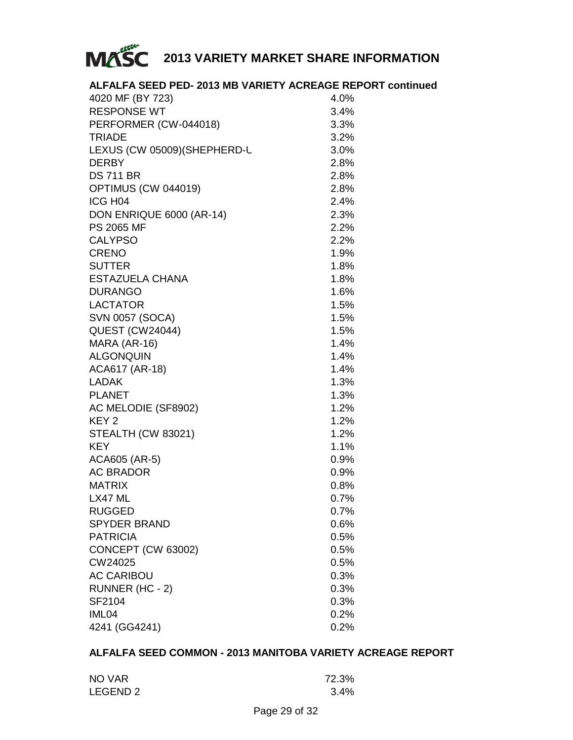

### **ALFALFA SEED PED- 2013 MB VARIETY ACREAGE REPORT continued**

| 4020 MF (BY 723)             | 4.0% |
|------------------------------|------|
| <b>RESPONSE WT</b>           | 3.4% |
| PERFORMER (CW-044018)        | 3.3% |
| <b>TRIADE</b>                | 3.2% |
| LEXUS (CW 05009) (SHEPHERD-L | 3.0% |
| <b>DERBY</b>                 | 2.8% |
| <b>DS 711 BR</b>             | 2.8% |
| OPTIMUS (CW 044019)          | 2.8% |
| ICG H04                      | 2.4% |
| DON ENRIQUE 6000 (AR-14)     | 2.3% |
| PS 2065 MF                   | 2.2% |
| <b>CALYPSO</b>               | 2.2% |
| <b>CRENO</b>                 | 1.9% |
| <b>SUTTER</b>                | 1.8% |
| ESTAZUELA CHANA              | 1.8% |
| <b>DURANGO</b>               | 1.6% |
| <b>LACTATOR</b>              | 1.5% |
| <b>SVN 0057 (SOCA)</b>       | 1.5% |
| <b>QUEST (CW24044)</b>       | 1.5% |
| MARA (AR-16)                 | 1.4% |
| <b>ALGONQUIN</b>             | 1.4% |
| ACA617 (AR-18)               | 1.4% |
| <b>LADAK</b>                 | 1.3% |
| <b>PLANET</b>                | 1.3% |
| AC MELODIE (SF8902)          | 1.2% |
| KEY <sub>2</sub>             | 1.2% |
| STEALTH (CW 83021)           | 1.2% |
| <b>KEY</b>                   | 1.1% |
| ACA605 (AR-5)                | 0.9% |
| <b>AC BRADOR</b>             | 0.9% |
| <b>MATRIX</b>                | 0.8% |
| LX47 ML                      | 0.7% |
| <b>RUGGED</b>                | 0.7% |
| <b>SPYDER BRAND</b>          | 0.6% |
| <b>PATRICIA</b>              | 0.5% |
| CONCEPT (CW 63002)           | 0.5% |
| CW24025                      | 0.5% |
| <b>AC CARIBOU</b>            | 0.3% |
| RUNNER (HC - 2)              | 0.3% |
| SF2104                       | 0.3% |
| IML04                        | 0.2% |
| 4241 (GG4241)                | 0.2% |

### **ALFALFA SEED COMMON - 2013 MANITOBA VARIETY ACREAGE REPORT**

| NO VAR   | 72.3%   |
|----------|---------|
| LEGEND 2 | $3.4\%$ |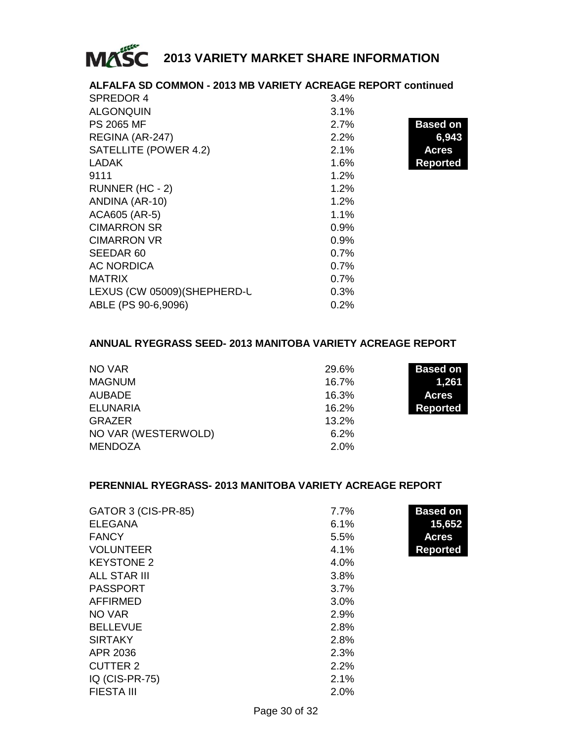

| ALFALFA SD COMMON - 2013 MB VARIETY ACREAGE REPORT continued |      |                 |
|--------------------------------------------------------------|------|-----------------|
| SPREDOR 4                                                    | 3.4% |                 |
| <b>ALGONQUIN</b>                                             | 3.1% |                 |
| <b>PS 2065 MF</b>                                            | 2.7% | <b>Based on</b> |
| REGINA (AR-247)                                              | 2.2% | 6,943           |
| SATELLITE (POWER 4.2)                                        | 2.1% | <b>Acres</b>    |
| <b>LADAK</b>                                                 | 1.6% | <b>Reported</b> |
| 9111                                                         | 1.2% |                 |
| RUNNER (HC - 2)                                              | 1.2% |                 |
| ANDINA (AR-10)                                               | 1.2% |                 |
| ACA605 (AR-5)                                                | 1.1% |                 |
| <b>CIMARRON SR</b>                                           | 0.9% |                 |
| <b>CIMARRON VR</b>                                           | 0.9% |                 |
| SEEDAR 60                                                    | 0.7% |                 |
| <b>AC NORDICA</b>                                            | 0.7% |                 |
| <b>MATRIX</b>                                                | 0.7% |                 |
| LEXUS (CW 05009) (SHEPHERD-L                                 | 0.3% |                 |
| ABLE (PS 90-6,9096)                                          | 0.2% |                 |

### **ANNUAL RYEGRASS SEED- 2013 MANITOBA VARIETY ACREAGE REPORT**

| NO VAR              | 29.6% | <b>Based on</b> |
|---------------------|-------|-----------------|
| <b>MAGNUM</b>       | 16.7% | 1,261           |
| AUBADE              | 16.3% | <b>Acres</b>    |
| ELUNARIA            | 16.2% | Reported        |
| <b>GRAZER</b>       | 13.2% |                 |
| NO VAR (WESTERWOLD) | 6.2%  |                 |
| <b>MENDOZA</b>      | 2.0%  |                 |

### **PERENNIAL RYEGRASS- 2013 MANITOBA VARIETY ACREAGE REPORT**

| GATOR 3 (CIS-PR-85) | 7.7% | <b>Based on</b> |
|---------------------|------|-----------------|
| <b>ELEGANA</b>      | 6.1% | 15,652          |
| <b>FANCY</b>        | 5.5% | <b>Acres</b>    |
| <b>VOLUNTEER</b>    | 4.1% | <b>Reported</b> |
| <b>KEYSTONE 2</b>   | 4.0% |                 |
| ALL STAR III        | 3.8% |                 |
| <b>PASSPORT</b>     | 3.7% |                 |
| AFFIRMED            | 3.0% |                 |
| NO VAR              | 2.9% |                 |
| <b>BELLEVUE</b>     | 2.8% |                 |
| <b>SIRTAKY</b>      | 2.8% |                 |
| APR 2036            | 2.3% |                 |
| CUTTER 2            | 2.2% |                 |
| IQ (CIS-PR-75)      | 2.1% |                 |
| <b>FIESTA III</b>   | 2.0% |                 |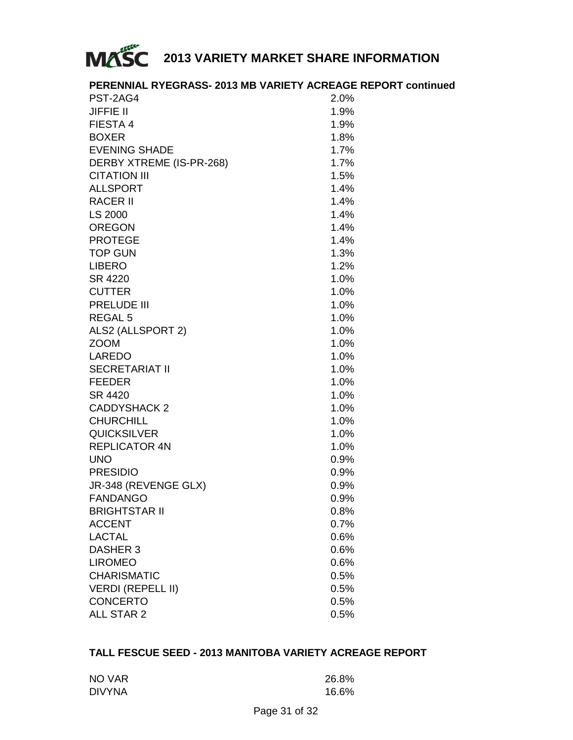

### **PERENNIAL RYEGRASS- 2013 MB VARIETY ACREAGE REPORT continued**

| PST-2AG4                 | 2.0%    |
|--------------------------|---------|
| <b>JIFFIE II</b>         | 1.9%    |
| FIESTA 4                 | 1.9%    |
| <b>BOXER</b>             | 1.8%    |
| <b>EVENING SHADE</b>     | 1.7%    |
| DERBY XTREME (IS-PR-268) | 1.7%    |
| CITATION III             | 1.5%    |
| <b>ALLSPORT</b>          | 1.4%    |
| <b>RACER II</b>          | 1.4%    |
| LS 2000                  | 1.4%    |
| <b>OREGON</b>            | 1.4%    |
| <b>PROTEGE</b>           | 1.4%    |
| <b>TOP GUN</b>           | 1.3%    |
| <b>LIBERO</b>            | 1.2%    |
| SR 4220                  | 1.0%    |
| <b>CUTTER</b>            | 1.0%    |
| PRELUDE III              | 1.0%    |
| REGAL 5                  | 1.0%    |
| ALS2 (ALLSPORT 2)        | 1.0%    |
| <b>ZOOM</b>              | 1.0%    |
| LAREDO                   | 1.0%    |
| <b>SECRETARIAT II</b>    | 1.0%    |
| <b>FEEDER</b>            | 1.0%    |
| SR 4420                  | 1.0%    |
| <b>CADDYSHACK 2</b>      | 1.0%    |
| <b>CHURCHILL</b>         | 1.0%    |
| <b>QUICKSILVER</b>       | 1.0%    |
| <b>REPLICATOR 4N</b>     | 1.0%    |
| <b>UNO</b>               | $0.9\%$ |
| <b>PRESIDIO</b>          | $0.9\%$ |
| JR-348 (REVENGE GLX)     | 0.9%    |
| <b>FANDANGO</b>          | $0.9\%$ |
| <b>BRIGHTSTAR II</b>     | $0.8\%$ |
| <b>ACCENT</b>            | 0.7%    |
| <b>LACTAL</b>            | 0.6%    |
| <b>DASHER 3</b>          | 0.6%    |
| <b>LIROMEO</b>           | 0.6%    |
| CHARISMATIC              | 0.5%    |
| <b>VERDI (REPELL II)</b> | $0.5\%$ |
| <b>CONCERTO</b>          | 0.5%    |
| ALL STAR 2               | $0.5\%$ |
|                          |         |

### **TALL FESCUE SEED - 2013 MANITOBA VARIETY ACREAGE REPORT**

| NO VAR        | 26.8% |
|---------------|-------|
| <b>DIVYNA</b> | 16.6% |